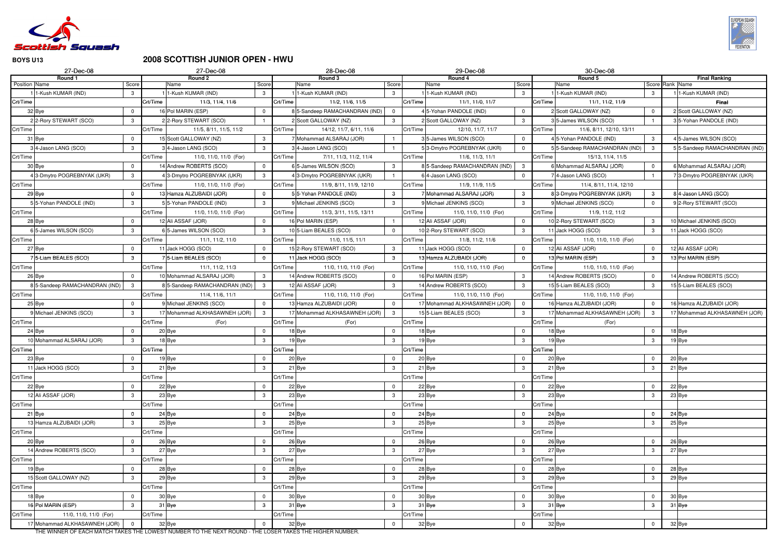

### **2008 SCOTTISH JUNIOR OPEN - HWU**

|               | 27-Dec-08                     |               |          | 27-Dec-08                     |                |          | 28-Dec-08                     |                |          | 29-Dec-08                      |                |          | 30-Dec-08                    |                |                                        |
|---------------|-------------------------------|---------------|----------|-------------------------------|----------------|----------|-------------------------------|----------------|----------|--------------------------------|----------------|----------|------------------------------|----------------|----------------------------------------|
|               | Round 1                       |               |          | Round 2                       |                |          | Round 3                       |                |          | Round 4                        |                |          | Round 5                      |                | <b>Final Ranking</b>                   |
| Position Name | -Kush KUMAR (IND)             | Score<br>3    |          | Name<br>1-Kush KUMAR (IND)    | Score          |          | Name<br>1-Kush KUMAR (IND)    | Score          |          | Name<br>11-Kush KUMAR (IND)    | Score          |          | Name<br>1-Kush KUMAR (IND)   |                | Score Rank Name<br>11-Kush KUMAR (IND) |
| Crt/Time      |                               |               | Crt/Time | 11/3, 11/4, 11/6              | 3              | Crt/Time | 11/2, 11/6, 11/5              | $\mathbf{3}$   | Crt/Time | 11/1, 11/0, 11/7               | 3              |          | 11/1, 11/2, 11/9             | 3              |                                        |
|               |                               |               |          |                               |                |          |                               |                |          |                                |                | Crt/Time |                              |                | Final                                  |
|               | 32 Bye                        |               |          | 16 Pol MARIN (ESP)            |                |          | 85-Sandeep RAMACHANDRAN (IND) | $\overline{0}$ |          | 4 5-Yohan PANDOLE (IND)        | $\Omega$       |          | Scott GALLOWAY (NZ)          | $\Omega$       | 2 Scott GALLOWAY (NZ)                  |
|               | 22-Rory STEWART (SCO)         | -3            |          | 22-Rory STEWART (SCO)         |                |          | Scott GALLOWAY (NZ)           | $\mathbf{3}$   |          | 2 Scott GALLOWAY (NZ)          | 3              |          | 5-James WILSON (SCO)         |                | 35-Yohan PANDOLE (IND)                 |
| Crt/Time      |                               |               | Crt/Time | 11/5, 8/11, 11/5, 11/2        |                | Crt/Time | 14/12, 11/7, 6/11, 11/6       |                | Crt/Time | 12/10, 11/7, 11/7              |                | Crt/Time | 11/6, 8/11, 12/10, 13/11     |                |                                        |
|               | 31 Bye                        |               |          | 15 Scott GALLOWAY (NZ)        | 3              |          | Mohammad ALSARAJ (JOR)        |                |          | 35-James WILSON (SCO)          | $\overline{0}$ |          | 5-Yohan PANDOLE (IND)        | $\mathbf{3}$   | 4 5-James WILSON (SCO)                 |
|               | 4-Jason LANG (SCO)            | $\mathcal{B}$ |          | 34-Jason LANG (SCO)           | 3              |          | 4-Jason LANG (SCO)            |                |          | 53-Dmytro POGREBNYAK (UKR)     | $\overline{0}$ |          | 5-Sandeep RAMACHANDRAN (IND) | $\mathbf{3}$   | 55-Sandeep RAMACHANDRAN (IND)          |
| Crt/Time      |                               |               | Crt/Time | 11/0, 11/0, 11/0 (For)        |                | Crt/Time | 7/11, 11/3, 11/2, 11/4        |                | Crt/Time | 11/6, 11/3, 11/1               |                | Crt/Time | 15/13, 11/4, 11/5            |                |                                        |
|               | 30 Bye                        |               |          | 14 Andrew ROBERTS (SCO)       | $\Omega$       |          | 6 5-James WILSON (SCO)        | $\mathbf{3}$   |          | 8 5-Sandeep RAMACHANDRAN (IND) | $\mathbf{3}$   |          | Mohammad ALSARAJ (JOR)       | $\mathbf 0$    | 6 Mohammad ALSARAJ (JOR)               |
|               | 3-Dmytro POGREBNYAK (UKR)     | 3             |          | 43-Dmytro POGREBNYAK (UKR)    | 3              |          | 43-Dmytro POGREBNYAK (UKR)    |                |          | 6 4-Jason LANG (SCO)           | $\mathbf 0$    |          | 4-Jason LANG (SCO)           |                | 73-Dmytro POGREBNYAK (UKR)             |
| Crt/Time      |                               |               | Crt/Time | 11/0, 11/0, 11/0 (For)        |                | Crt/Time | 11/9, 8/11, 11/9, 12/10       |                | Crt/Time | 11/9, 11/9, 11/5               |                | Crt/Time | 11/4, 8/11, 11/4, 12/10      |                |                                        |
|               | 29 Bye                        |               |          | 13 Hamza ALZUBAIDI (JOR)      | $\Omega$       |          | 55-Yohan PANDOLE (IND)        | $\mathbf{3}$   |          | 7 Mohammad ALSARAJ (JOR)       | 3              |          | 83-Dmytro POGREBNYAK (UKR)   | 3              | 84-Jason LANG (SCO)                    |
|               | 55-Yohan PANDOLE (IND)        |               |          | 55-Yohan PANDOLE (IND)        | $\mathcal{B}$  |          | 9 Michael JENKINS (SCO)       | 3              |          | 9 Michael JENKINS (SCO)        | 3              |          | Michael JENKINS (SCO)        | $\overline{0}$ | 9 2-Rory STEWART (SCO)                 |
| Crt/Time      |                               |               | Crt/Time | 11/0, 11/0, 11/0 (For)        |                | Crt/Time | 11/3, 3/11, 11/5, 13/11       |                | Crt/Time | 11/0, 11/0, 11/0 (For)         |                | Crt/Time | 11/9, 11/2, 11/2             |                |                                        |
|               | 28 Bye                        |               |          | 12 Ali ASSAF (JOR)            |                |          | 16 Pol MARIN (ESP)            |                |          | 12 Ali ASSAF (JOR)             | $\Omega$       |          | 0 2-Rory STEWART (SCO)       | 3              | 10 Michael JENKINS (SCO)               |
|               | 5-James WILSON (SCO)          | 3             |          | 6 5-James WILSON (SCO)        | $\mathbf{3}$   |          | 10 5-Liam BEALES (SCO)        | $\Omega$       |          | 10 2-Rory STEWART (SCO)        | $\mathbf{3}$   |          | 11 Jack HOGG (SCO)           | $\mathbf{3}$   | 11 Jack HOGG (SCO)                     |
| Crt/Time      |                               |               | Crt/Time | 11/1, 11/2, 11/0              |                | Crt/Time | 11/0, 11/5, 11/1              |                | Crt/Time | 11/8, 11/2, 11/6               |                | Crt/Time | 11/0, 11/0, 11/0 (For)       |                |                                        |
|               | 27 Bye                        |               |          | 1 Jack HOGG (SCO)             | $\Omega$       |          | 15 2-Rory STEWART (SCO)       | $\mathbf{3}$   |          | 11 Jack HOGG (SCO)             | $\mathbf 0$    |          | 2 Ali ASSAF (JOR)            | $\mathbf 0$    | 12 Ali ASSAF (JOR)                     |
|               | 5-Liam BEALES (SCO)           | 3             |          | 75-Liam BEALES (SCO)          | $\Omega$       |          | 11 Jack HOGG (SCO)            | $\mathbf{3}$   |          | 13 Hamza ALZUBAIDI (JOR)       | $\Omega$       |          | 3 Pol MARIN (ESP)            | $\mathbf{3}$   | 13 Pol MARIN (ESP)                     |
| Crt/Time      |                               |               | Crt/Time | 11/1, 11/2, 11/3              |                | Crt/Time | 11/0, 11/0, 11/0 (For)        |                | Crt/Time | 11/0, 11/0, 11/0 (For)         |                | Crt/Time | 11/0, 11/0, 11/0 (For)       |                |                                        |
|               | 26 Bye                        | $\Omega$      |          | 10 Mohammad ALSARAJ (JOR)     | $\mathbf{3}$   |          | Andrew ROBERTS (SCO)          | $\mathbf{0}$   |          | 16 Pol MARIN (ESP)             | 3              |          | 4 Andrew ROBERTS (SCO)       | $\overline{0}$ | 14 Andrew ROBERTS (SCO)                |
|               | 5-Sandeep RAMACHANDRAN (IND)  | 3             |          | 85-Sandeep RAMACHANDRAN (IND) | 3 <sup>1</sup> |          | 12 Ali ASSAF (JOR)            | $\mathbf{3}$   |          | 14 Andrew ROBERTS (SCO)        | 3              |          | 5 5-Liam BEALES (SCO)        | $\mathbf{3}$   | 15 5-Liam BEALES (SCO)                 |
| Crt/Time      |                               |               | Crt/Time | 11/4, 11/6, 11/1              |                | Crt/Time | 11/0, 11/0, 11/0 (For)        |                | Crt/Time | 11/0, 11/0, 11/0 (For)         |                | Crt/Time | 11/0, 11/0, 11/0 (For)       |                |                                        |
|               | 25 Bye                        |               |          | 9 Michael JENKINS (SCO)       | $\Omega$       |          | 13 Hamza ALZUBAIDI (JOR)      | $\mathbf 0$    |          | 17 Mohammad ALKHASAWNEH (JOR)  | $\cap$         |          | 16 Hamza ALZUBAIDI (JOR)     | $\mathbf 0$    | 16 Hamza ALZUBAIDI (JOR)               |
|               | Michael JENKINS (SCO)         |               |          | Mohammad ALKHASAWNEH (JOR)    | $\mathbf{3}$   |          | 17 Mohammad ALKHASAWNEH (JOR) | $\mathbf{3}$   |          | 15 5-Liam BEALES (SCO)         | 3              |          | Mohammad ALKHASAWNEH (JOR)   | $\mathbf{3}$   | 17 Mohammad ALKHASAWNEH (JOR)          |
| Crt/Time      |                               |               | Crt/Time | (For)                         |                | Crt/Time | (For)                         |                | Crt/Time |                                |                | Crt/Time | (For)                        |                |                                        |
|               | 24 Bye                        |               |          | 20 Bye                        | $\Omega$       |          | 18 Bye                        | $\mathbf 0$    |          | 18 Bye                         | $\overline{0}$ |          | 18 Bye                       | $\mathbf 0$    | 18 Bye                                 |
|               | 10 Mohammad ALSARAJ (JOR)     | $\mathcal{B}$ |          | 18 Bye                        | 3              |          | 19 Bye                        | 3              |          | 19 Bye                         | 3              |          | 19 Bye                       | 3              | 19 Bye                                 |
| Crt/Time      |                               |               | Crt/Time |                               |                | Crt/Time |                               |                | Crt/Time |                                |                | Crt/Time |                              |                |                                        |
|               | 23 Bye                        |               |          | 19 Bye                        | $\Omega$       |          | 20 Bye                        | $\overline{0}$ |          | 20 Bye                         | $\overline{0}$ |          | 20 Bye                       | $\overline{0}$ | 20 Bye                                 |
|               | 11 Jack HOGG (SCO)            | 3             |          | 21 Bye                        | $\mathbf{3}$   |          | 21 Bye                        | $\mathbf{3}$   |          | 21 Bye                         | $\mathbf{3}$   |          | 21 Bye                       | $\mathbf{3}$   | 21 Bye                                 |
| Crt/Time      |                               |               | Crt/Time |                               |                | Crt/Time |                               |                | Crt/Time |                                |                | Crt/Time |                              |                |                                        |
|               | 22 Bye                        |               |          | 22 Bye                        | 0              |          | 22 Bye                        | 0              |          | 22 Bye                         | $\mathbf 0$    |          | 22 Bye                       | $\mathbf 0$    | 22 Bye                                 |
|               | 12 Ali ASSAF (JOR)            | $\mathcal{B}$ |          | 23 Bye                        | $\mathbf{3}$   |          | 23 Bye                        | $\mathbf{3}$   |          | 23 Bye                         | 3              |          | 23 Bye                       | $\mathbf{3}$   | 23 Bye                                 |
| Crt/Time      |                               |               | Crt/Time |                               |                | Crt/Time |                               |                | Crt/Time |                                |                | Crt/Time |                              |                |                                        |
|               | 21 Bye                        |               |          | 24 Bye                        | $\Omega$       |          | 24 Bye                        | $\mathbf 0$    |          | 24 Bye                         | $\mathbf 0$    |          | 24 Bye                       | $\mathbf 0$    | 24 Bye                                 |
|               | 13 Hamza ALZUBAIDI (JOR)      | 3             |          | 25 Bye                        | $\mathbf{3}$   |          | 25 Bye                        | $\mathbf{3}$   |          | 25 Bye                         | 3              |          | 25 Bye                       | 3              | 25 Bye                                 |
| Crt/Time      |                               |               | Crt/Time |                               |                | Crt/Time |                               |                | Crt/Time |                                |                | Crt/Time |                              |                |                                        |
|               | 20 Bye                        |               |          | 26 Bye                        | $\mathbf 0$    |          | 26 Bye                        | $\mathbf{0}$   |          | 26 Bye                         | $\mathbf 0$    |          | 26 Bye                       | $\mathbf 0$    | 26 Bye                                 |
|               | 14 Andrew ROBERTS (SCO)       | $\mathcal{B}$ |          | 27 Bye                        | $\mathbf{3}$   |          | 27 Bye                        | 3              |          | 27 Bye                         | $\mathbf{3}$   |          | 27 Bye                       | 3              | 27 Bye                                 |
| Crt/Time      |                               |               | Crt/Time |                               |                | Crt/Time |                               |                | Crt/Time |                                |                | Crt/Time |                              |                |                                        |
|               | 19 Bye                        |               |          | 28 Bye                        | $\Omega$       |          | 28 Bye                        | $\mathbf 0$    |          | 28 Bye                         | $\mathbf 0$    |          | 28 Bye                       | 0              | 28 Bye                                 |
|               | 15 Scott GALLOWAY (NZ)        | $\mathcal{B}$ |          | 29 Bye                        | $\mathbf{3}$   |          | 29 Bye                        | $\mathbf{3}$   |          | 29 Bye                         | $\mathbf{3}$   |          | 29 Bye                       | $\mathbf{3}$   | 29 Bye                                 |
| Crt/Time      |                               |               | Crt/Time |                               |                | Crt/Time |                               |                | Crt/Time |                                |                | Crt/Time |                              |                |                                        |
|               | 18 Bye                        |               |          | 30 Bye                        | 0              |          | 30 Bye                        | $\mathbf 0$    |          | 30 Bye                         | $\mathbf 0$    |          | 30 Bye                       | $\mathbf 0$    | 30 Bye                                 |
|               | 16 Pol MARIN (ESP)            | 3             |          | 31 Bye                        | $\mathbf{3}$   |          | 31 Bye                        | $\mathbf{3}$   |          | 31 Bye                         | $\mathbf{3}$   |          | 31 Bye                       | 3              | 31 Bye                                 |
| Crt/Time      | 11/0, 11/0, 11/0 (For)        |               | Crt/Time |                               |                | Crt/Time |                               |                | Crt/Time |                                |                | Crt/Time |                              |                |                                        |
|               | 17 Mohammad ALKHASAWNEH (JOR) |               |          | 32 Bye                        | $\mathbf 0$    |          | 32 Bye                        | $\mathbf{0}$   |          | 32 Bye                         | $\mathbf 0$    |          | 32 Bye                       | $\mathbf 0$    | 32 Bye                                 |

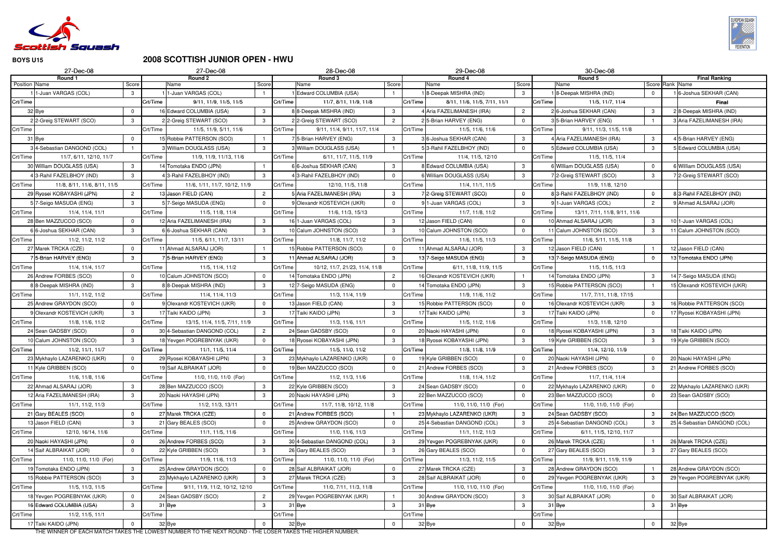

# **2008 SCOTTISH JUNIOR OPEN - HWU**

|               | 27-Dec-08                                    |                             |          | 27-Dec-08                                                                                               |                         |          | 28-Dec-08                                         |                |          | 29-Dec-08                                             |                   | 30-Dec-08                                                  |                              |                                                       |
|---------------|----------------------------------------------|-----------------------------|----------|---------------------------------------------------------------------------------------------------------|-------------------------|----------|---------------------------------------------------|----------------|----------|-------------------------------------------------------|-------------------|------------------------------------------------------------|------------------------------|-------------------------------------------------------|
|               | Round 1                                      |                             |          | Round 2                                                                                                 |                         |          | Round 3                                           |                |          | Round 4                                               |                   | Round 5                                                    |                              | <b>Final Ranking</b>                                  |
| Position Name | 1-Juan VARGAS (COL)                          | Score<br>3                  |          | Name<br>1-Juan VARGAS (COL)                                                                             | Score                   |          | Name<br>Edward COLUMBIA (USA)                     | Score          |          | Name<br>18-Deepak MISHRA (IND)                        | Score<br>3        | Name<br>8-Deepak MISHRA (IND)                              | $\mathbf{0}$                 | Score Rank Name<br>16-Joshua SEKHAR (CAN)             |
| Crt/Time      |                                              |                             | Crt/Time | 9/11, 11/9, 11/5, 11/5                                                                                  |                         | Crt/Time | 11/7, 8/11, 11/9, 11/8                            |                | Crt/Time | 8/11, 11/6, 11/5, 7/11, 11/1                          |                   | Crt/Time<br>11/5, 11/7, 11/4                               |                              | <b>Final</b>                                          |
|               | 32 Bye                                       | $\Omega$                    |          | 16 Edward COLUMBIA (USA)                                                                                | 3                       |          | 8 8-Deepak MISHRA (IND)                           | 3              |          | 4 Aria FAZELIMANESH (IRA)                             | $\overline{2}$    | 26-Joshua SEKHAR (CAN)                                     | 3                            | 28-Deepak MISHRA (IND)                                |
|               | 2 2-Greig STEWART (SCO)                      | 3                           |          | 2 2-Greig STEWART (SCO)                                                                                 | 3                       |          | 2 2-Greig STEWART (SCO)                           | $\overline{2}$ |          | 25-Brian HARVEY (ENG)                                 | $\overline{0}$    | 5-Brian HARVEY (ENG)                                       |                              | 3 Aria FAZELIMANESH (IRA)                             |
| Crt/Time      |                                              |                             | Crt/Time | 11/5, 11/9, 5/11, 11/6                                                                                  |                         | Crt/Time | 9/11, 11/4, 9/11, 11/7, 11/4                      |                | Crt/Time | 11/5, 11/6, 11/6                                      |                   | Crt/Time<br>9/11, 11/3, 11/5, 11/8                         |                              |                                                       |
|               | 31 Bye                                       | $\Omega$                    |          | 15 Robbie PATTERSON (SCO)                                                                               |                         |          | 75-Brian HARVEY (ENG)                             | 3              |          | 3 6-Joshua SEKHAR (CAN)                               | 3                 | Aria FAZELIMANESH (IRA)                                    | 3                            | 4 5-Brian HARVEY (ENG)                                |
|               | 3 4-Sebastian DANGOND (COL)                  |                             |          | 3 William DOUGLASS (USA)                                                                                |                         |          | 3 William DOUGLASS (USA)                          |                |          | 53-Rahil FAZELBHOY (IND)                              | $\overline{0}$    | Edward COLUMBIA (USA)                                      | 3                            | 5 Edward COLUMBIA (USA)                               |
| Crt/Time      | 11/7, 6/11, 12/10, 11/7                      |                             | Crt/Time | 11/9, 11/9, 11/13, 11/6                                                                                 |                         | Crt/Time | 6/11, 11/7, 11/5, 11/9                            |                | Crt/Time | 11/4, 11/5, 12/10                                     |                   | Crt/Time<br>11/5, 11/5, 11/4                               |                              |                                                       |
|               | 30 William DOUGLASS (USA)                    | -3                          |          | 14 Tomotaka ENDO (JPN)                                                                                  |                         |          | 6 6-Joshua SEKHAR (CAN)                           | 3              |          | 8 Edward COLUMBIA (USA)                               | 3                 | 6 William DOUGLASS (USA)                                   | $\mathbf 0$                  | 6 William DOUGLASS (USA)                              |
|               | 4 3-Rahil FAZELBHOY (IND)                    | 3                           |          | 4 3-Rahil FAZELBHOY (IND)                                                                               |                         |          | <b>3-Rahil FAZELBHOY (IND)</b>                    | $\Omega$       |          | 6 William DOUGLASS (USA)                              | 3                 | 2-Greig STEWART (SCO)                                      | 3                            | 72-Greig STEWART (SCO)                                |
| Crt/Time      | 11/8, 8/11, 11/6, 8/11, 11/5                 |                             | Crt/Time | 11/6, 1/11, 11/7, 10/12, 11/9                                                                           |                         | Crt/Time | 12/10, 11/5, 11/8                                 |                | Crt/Time | 11/4, 11/1, 11/5                                      |                   | Crt/Time<br>11/9, 11/8, 12/10                              |                              |                                                       |
|               | 29 Ryosei KOBAYASHI (JPN)                    | $\overline{2}$              |          | 13 Jason FIELD (CAN)                                                                                    | $\overline{2}$          |          | 5 Aria FAZELIMANESH (IRA)                         | 3              |          | 72-Greig STEWART (SCO)                                | $\mathbf{0}$      | 8 3-Rahil FAZELBHOY (IND)                                  | $\mathbf 0$                  | 8 3-Rahil FAZELBHOY (IND)                             |
|               | 5 7-Seigo MASUDA (ENG)                       | 3                           |          | 7-Seigo MASUDA (ENG)                                                                                    | $\Omega$                |          | 9 Olexandr KOSTEVICH (UKR)                        | $\mathbf 0$    |          | 91-Juan VARGAS (COL)                                  | 3                 | 91-Juan VARGAS (COL)                                       | $\overline{2}$               | 9 Ahmad ALSARAJ (JOR)                                 |
| Crt/Time      | 11/4, 11/4, 11/1                             |                             | Crt/Time | 11/5, 11/8, 11/4                                                                                        |                         | Crt/Time | 11/6, 11/3, 15/13                                 |                | Crt/Time | 11/7, 11/8, 11/2                                      |                   | Crt/Time<br>13/11, 7/11, 11/8, 9/11, 11/6                  |                              |                                                       |
|               | 28 Ben MAZZUCCO (SCO)                        | $\mathbf 0$                 |          | 12 Aria FAZELIMANESH (IRA)                                                                              | 3                       |          | 16 1-Juan VARGAS (COL)                            | 3              |          | 12 Jason FIELD (CAN)                                  | $\overline{0}$    | 10 Ahmad ALSARAJ (JOR)                                     | 3                            | 10 1-Juan VARGAS (COL)                                |
|               | 66-Joshua SEKHAR (CAN)                       | 3                           |          | 6 6-Joshua SEKHAR (CAN)                                                                                 | 3                       |          | 10 Calum JOHNSTON (SCO)                           | 3              |          | 10 Calum JOHNSTON (SCO)                               | $\overline{0}$    | 11 Calum JOHNSTON (SCO)                                    | $\mathbf{3}$                 | 11 Calum JOHNSTON (SCO)                               |
| Crt/Time      | 11/2, 11/2, 11/2                             |                             | Crt/Time | 11/5, 6/11, 11/7, 13/11                                                                                 |                         | Crt/Time | 11/8, 11/7, 11/2                                  |                | Crt/Time | 11/6, 11/5, 11/3                                      |                   | Crt/Time<br>11/6, 5/11, 11/5, 11/8                         |                              |                                                       |
|               | 27 Marek TRCKA (CZE)                         | $\Omega$                    |          | 11 Ahmad ALSARAJ (JOR)                                                                                  |                         |          | 15 Robbie PATTERSON (SCO)                         | $\mathbf 0$    |          | 11 Ahmad ALSARAJ (JOR)                                | 3                 | 12 Jason FIELD (CAN)                                       |                              | 12 Jason FIELD (CAN)                                  |
|               | 715-Brian HARVEY (ENG)                       | 3                           |          | 5-Brian HARVEY (ENG)                                                                                    |                         |          | 11 Ahmad ALSARAJ (JOR)                            | 3              |          | 13 7-Seigo MASUDA (ENG)                               | 3                 | 13 7-Seigo MASUDA (ENG)                                    | $\mathbf{0}$                 | 13 Tomotaka ENDO (JPN)                                |
| Crt/Time      | 11/4, 11/4, 11/7                             |                             | Crt/Time | 11/5, 11/4, 11/2                                                                                        |                         | Crt/Time | 10/12, 11/7, 21/23, 11/4, 11/8                    |                | Crt/Time | 6/11, 11/8, 11/9, 11/5                                |                   | Crt/Time<br>11/5, 11/5, 11/3                               |                              |                                                       |
|               | 26 Andrew FORBES (SCO)                       | $\Omega$                    |          | 10 Calum JOHNSTON (SCO)                                                                                 | $\Omega$                |          | 14 Tomotaka ENDO (JPN)                            | $\overline{2}$ |          | 16 Olexandr KOSTEVICH (UKR)                           |                   | 14 Tomotaka ENDO (JPN)                                     | $\mathbf{3}$                 | 14 7-Seigo MASUDA (ENG)                               |
|               | 8 8-Deepak MISHRA (IND)                      | 3                           |          | 88-Deepak MISHRA (IND)                                                                                  | 3                       |          | 12 7-Seigo MASUDA (ENG)                           | $\overline{0}$ |          | 14 Tomotaka ENDO (JPN)                                | 3                 | 15 Robbie PATTERSON (SCO)                                  |                              | 15 Olexandr KOSTEVICH (UKR)                           |
| Crt/Time      | 11/1, 11/2, 11/2                             |                             | Crt/Time | 11/4, 11/4, 11/3                                                                                        |                         | Crt/Time | 11/3, 11/4, 11/9                                  |                | Crt/Time | 11/9, 11/6, 11/2                                      |                   | Crt/Time<br>11/7, 7/11, 11/8, 17/15                        |                              |                                                       |
|               | 25 Andrew GRAYDON (SCO)                      | $\overline{0}$              |          | 9 Olexandr KOSTEVICH (UKR)                                                                              | $\Omega$                |          | 13 Jason FIELD (CAN)                              | 3              |          | 15 Robbie PATTERSON (SCO)                             | $\overline{0}$    | 16 Olexandr KOSTEVICH (UKR)                                | 3                            | 16 Robbie PATTERSON (SCO)                             |
|               | 9 Olexandr KOSTEVICH (UKR)                   | 3                           |          | 17 Taiki KAIDO (JPN)                                                                                    | 3                       |          | 17 Taiki KAIDO (JPN)                              | 3              |          | 17 Taiki KAIDO (JPN)                                  | 3                 | 17 Taiki KAIDO (JPN)                                       | $\overline{0}$               | 17 Ryosei KOBAYASHI (JPN)                             |
| Crt/Time      | 11/8, 11/6, 11/2                             |                             | Crt/Time | 13/15, 11/4, 11/5, 7/11, 11/9                                                                           |                         | Crt/Time | 11/3, 11/6, 11/1                                  |                | Crt/Time | 11/5, 11/2, 11/6                                      |                   | Crt/Time<br>11/3, 11/8, 12/10                              |                              |                                                       |
|               | 24 Sean GADSBY (SCO)                         | $\Omega$                    |          | 30 4-Sebastian DANGOND (COL)                                                                            | $\overline{2}$          |          | 24 Sean GADSBY (SCO)                              | $\mathbf 0$    |          | 20 Naoki HAYASHI (JPN)                                | $\overline{0}$    | 18 Ryosei KOBAYASHI (JPN)                                  | 3                            | 18 Taiki KAIDO (JPN)                                  |
|               | 10 Calum JOHNSTON (SCO)                      | $\mathbf{3}$                |          | 18 Yevgen POGREBNYAK (UKR)                                                                              | $\overline{0}$          |          | 18 Ryosei KOBAYASHI (JPN)                         | 3              |          | 18 Ryosei KOBAYASHI (JPN)                             | 3                 | 19 Kyle GRIBBEN (SCO)                                      | $\mathbf{3}$                 | 19 Kyle GRIBBEN (SCO)                                 |
| Crt/Time      | 11/2, 11/1, 11/7                             |                             | Crt/Time | 11/1, 11/5, 11/4                                                                                        |                         | Crt/Time | 11/5, 11/0, 11/2                                  |                | Crt/Time | 11/8, 11/8, 11/9                                      |                   | Crt/Time<br>11/4, 12/10, 11/9                              |                              |                                                       |
|               | 23 Mykhaylo LAZARENKO (UKR)                  | $\mathbf{0}$                |          | 29 Ryosei KOBAYASHI (JPN)                                                                               | 3                       |          | 23 Mykhaylo LAZARENKO (UKR)                       | $\overline{0}$ |          | 19 Kyle GRIBBEN (SCO)                                 | $\mathbf 0$       | 20 Naoki HAYASHI (JPN)                                     | $\overline{0}$               | 20 Naoki HAYASHI (JPN)                                |
|               | 11 Kyle GRIBBEN (SCO)                        | $\Omega$                    |          | 19 Saif ALBRAIKAT (JOR)                                                                                 | $\overline{0}$          |          | 19 Ben MAZZUCCO (SCO)                             | $\overline{0}$ |          | 21 Andrew FORBES (SCO)                                | $\mathbf{3}$      | 21 Andrew FORBES (SCO)                                     | $\mathbf{3}$                 | 21 Andrew FORBES (SCO)                                |
| Crt/Time      | 11/6, 11/8, 11/6                             |                             | Crt/Time | 11/0, 11/0, 11/0 (For)                                                                                  |                         | Crt/Time | 11/2, 11/3, 11/6                                  |                | Crt/Time | 11/8, 11/4, 11/2                                      |                   | Crt/Time<br>11/7, 11/4, 11/4                               |                              |                                                       |
|               | 22 Ahmad ALSARAJ (JOR)                       | 3                           |          | 28 Ben MAZZUCCO (SCO)                                                                                   | 3                       |          | 22 Kyle GRIBBEN (SCO)                             | $\mathbf{3}$   |          | 24 Sean GADSBY (SCO)                                  | $\overline{0}$    | 22 Mykhaylo LAZARENKO (UKR)                                | $\mathbf{0}$                 | 22 Mykhaylo LAZARENKO (UKR)                           |
|               | 12 Aria FAZELIMANESH (IRA)                   | $\mathbf{3}$                |          | 20 Naoki HAYASHI (JPN)                                                                                  | $\mathbf{3}$            |          | 20 Naoki HAYASHI (JPN)                            | $\mathbf{3}$   |          | 22 Ben MAZZUCCO (SCO)                                 | $\overline{0}$    | 23 Ben MAZZUCCO (SCO)                                      | $\overline{0}$               | 23 Sean GADSBY (SCO)                                  |
| Crt/Time      | 11/1, 11/2, 11/3                             |                             | Crt/Time | 11/2, 11/3, 13/11<br>27 Marek TRCKA (CZE)                                                               |                         | Crt/Time | 11/7, 11/8, 10/12, 11/8<br>21 Andrew FORBES (SCO) |                | Crt/Time | 11/0, 11/0, 11/0 (For)<br>23 Mykhaylo LAZARENKO (UKR) |                   | 11/0, 11/0, 11/0 (For)<br>Crt/Time<br>24 Sean GADSBY (SCO) |                              |                                                       |
|               | 21 Gary BEALES (SCO)<br>13 Jason FIELD (CAN) | $\mathbf 0$<br>$\mathbf{3}$ |          | 21 Gary BEALES (SCO)                                                                                    | $\mathbf 0$<br>$\Omega$ |          | 25 Andrew GRAYDON (SCO)                           | $\Omega$       |          | 25 4-Sebastian DANGOND (COL)                          | $\mathbf{3}$<br>3 | 25 4-Sebastian DANGOND (COL)                               | $\mathbf{3}$<br>$\mathbf{3}$ | 24 Ben MAZZUCCO (SCO)<br>25 4-Sebastian DANGOND (COL) |
| Crt/Time      | 12/10, 16/14, 11/6                           |                             | Crt/Time | 11/1, 11/5, 11/6                                                                                        |                         | Crt/Time | 11/0, 11/6, 11/3                                  |                | Crt/Time | 11/1, 11/2, 11/3                                      |                   | Crt/Time<br>6/11, 11/5, 12/10, 11/7                        |                              |                                                       |
|               | 20 Naoki HAYASHI (JPN)                       | $\overline{0}$              |          | 26 Andrew FORBES (SCO)                                                                                  | $\mathbf{3}$            |          | 30 4-Sebastian DANGOND (COL)                      | 3              |          | 29 Yevgen POGREBNYAK (UKR)                            | $\overline{0}$    | 26 Marek TRCKA (CZE)                                       |                              | 26 Marek TRCKA (CZE)                                  |
|               | 14 Saif ALBRAIKAT (JOR)                      | $\Omega$                    |          | 22 Kyle GRIBBEN (SCO)                                                                                   | $\mathbf{3}$            |          | 26 Gary BEALES (SCO)                              | $\mathbf{3}$   |          | 26 Gary BEALES (SCO)                                  | $\overline{0}$    | 27 Gary BEALES (SCO)                                       | $\mathbf{3}$                 | 27 Gary BEALES (SCO)                                  |
| Crt/Time      | 11/0, 11/0, 11/0 (For)                       |                             | Crt/Time | 11/9, 11/6, 11/3                                                                                        |                         | Crt/Time | 11/0, 11/0, 11/0 (For)                            |                | Crt/Time | 11/3, 11/2, 11/5                                      |                   | Crt/Time<br>11/9, 9/11, 11/9, 11/9                         |                              |                                                       |
|               | 19 Tomotaka ENDO (JPN)                       | 3                           |          | 25 Andrew GRAYDON (SCO)                                                                                 | $\mathbf 0$             |          | 28 Saif ALBRAIKAT (JOR)                           | $\mathbf 0$    |          | 27 Marek TRCKA (CZE)                                  | 3                 | 28 Andrew GRAYDON (SCO)                                    |                              | 28 Andrew GRAYDON (SCO)                               |
|               | 15 Robbie PATTERSON (SCO)                    | $\mathbf{3}$                |          | 23 Mykhaylo LAZARENKO (UKR)                                                                             | $\mathbf{3}$            |          | 27 Marek TRCKA (CZE)                              | $\mathbf{3}$   |          | 28 Saif ALBRAIKAT (JOR)                               | $\overline{0}$    | 29 Yevgen POGREBNYAK (UKR)                                 | $\mathbf{3}$                 | 29 Yevgen POGREBNYAK (UKR)                            |
| Crt/Time      | 11/5, 11/3, 11/5                             |                             | Crt/Time | 9/11, 11/9, 11/2, 10/12, 12/10                                                                          |                         | Crt/Time | 11/0, 7/11, 11/3, 11/8                            |                | Crt/Time | 11/0, 11/0, 11/0 (For)                                |                   | 11/0, 11/0, 11/0 (For)<br>Crt/Time                         |                              |                                                       |
|               | 18 Yevgen POGREBNYAK (UKR)                   | $\overline{0}$              |          | 24 Sean GADSBY (SCO)                                                                                    | $\overline{2}$          |          | 29 Yevgen POGREBNYAK (UKR)                        |                |          | 30 Andrew GRAYDON (SCO)                               | $\mathbf{3}$      | 30 Saif ALBRAIKAT (JOR)                                    | $\mathbf 0$                  | 30 Saif ALBRAIKAT (JOR)                               |
|               | 16 Edward COLUMBIA (USA)                     | $\mathbf{3}$                |          | 31 Bye                                                                                                  | $\mathbf{3}$            |          | 31 Bye                                            | $\mathbf{3}$   |          | 31 Bye                                                | $\mathbf{3}$      | 31 Bye                                                     | $\mathbf{3}$                 | 31 Bye                                                |
| Crt/Time      | 11/2, 11/5, 11/1                             |                             | Crt/Time |                                                                                                         |                         | Crt/Time |                                                   |                | Crt/Time |                                                       |                   | Crt/Time                                                   |                              |                                                       |
|               | 17 Taiki KAIDO (JPN)                         | $\Omega$                    |          | 32 Bye                                                                                                  |                         |          | 32 Bye                                            | $\mathbf 0$    |          | 32 Bye                                                | $\overline{0}$    | 32 Bye                                                     | $\mathbf{0}$                 | 32 Bye                                                |
|               |                                              |                             |          | THE WINNER OF EACH MATCH TAKES THE LOWEST NI IMPER TO THE NEVT ROUND. THE LOSER TAKES THE HIGHER NUMBER |                         |          |                                                   |                |          |                                                       |                   |                                                            |                              |                                                       |

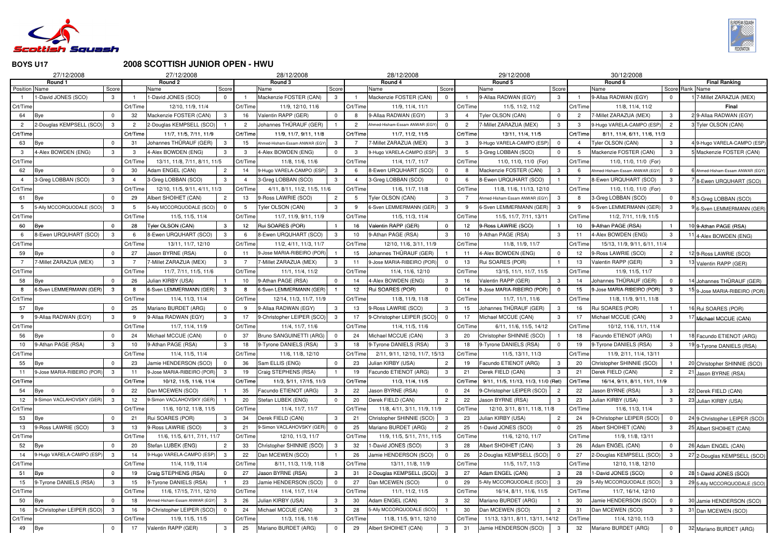

### **2008 SCOTTISH JUNIOR OPEN - HWU**

|                | 27/12/2008                 |       |                 | 27/12/2008                    |                |          | 28/12/2008                    |                |                | 28/12/2008                     |                |          | 29/12/2008                          |                |          | 30/12/2008                    |                 |    |                               |
|----------------|----------------------------|-------|-----------------|-------------------------------|----------------|----------|-------------------------------|----------------|----------------|--------------------------------|----------------|----------|-------------------------------------|----------------|----------|-------------------------------|-----------------|----|-------------------------------|
|                | Round 1                    |       |                 | Round 2                       |                |          | Round 3                       |                |                | Round 4                        |                |          | Round 5                             |                |          | Round 6                       |                 |    | <b>Final Ranking</b>          |
| Position Name  |                            | Score |                 | Name                          | Score          |          | Name                          | Score          |                | Name                           | Score          |          | Name                                | Score          |          | Name                          | Score Rank Name |    |                               |
|                | -David JONES (SCO)         | 3     |                 | 1-David JONES (SCO)           | $\Omega$       |          | Mackenzie FOSTER (CAN)        | 3 <sup>1</sup> |                | Mackenzie FOSTER (CAN)         | $\mathbf{0}$   |          | 9-Allaa RADWAN (EGY)                | 3 <sup>1</sup> |          | 9-Allaa RADWAN (EGY)          | $\mathbf{0}$    |    | 7-Millet ZARAZUA (MEX)        |
| Crt/Time       |                            |       | Crt/Time        | 12/10, 11/9, 11/4             |                | Crt/Time | 11/9, 12/10, 11/6             |                | Crt/Time       | 11/9, 11/4, 11/1               |                | Crt/Time | 11/5, 11/2, 11/2                    |                | Crt/Time | 11/8, 11/4, 11/2              |                 |    | Final                         |
| 64             | Bye                        |       | 32              | Mackenzie FOSTER (CAN)        | 3              | 16       | Valentin RAPP (GER)           | $\Omega$       | 8              | 9-Allaa RADWAN (EGY)           |                |          | Tyler OLSON (CAN)                   | 0              |          | 7-Millet ZARAZUA (MEX)        | $\mathbf{3}$    |    | 9-Allaa RADWAN (EGY)          |
| $\overline{2}$ | 2-Douglas KEMPSELL (SCO)   | -3    |                 | 2-Douglas KEMPSELL (SCO)      |                |          | Johannes THÜRAUF (GER)        |                | $\overline{2}$ | Ahmed-Hisham-Essam ANWAR (EGY  |                |          | 7-Millet ZARAZUA (MEX)              | 3              | 3        | 9-Hugo VARELA-CAMPO (ESP)     | $\overline{2}$  |    | Tyler OLSON (CAN)             |
| Crt/Time       |                            |       | Crt/Time        | 11/7, 11/5, 7/11, 11/9        |                | Crt/Time | 11/9, 11/7, 9/11, 11/8        |                | Crt/Time       | 11/7, 11/2, 11/5               |                | Crt/Time | 13/11, 11/4, 11/5                   |                | Crt/Time | 8/11, 11/4, 6/11, 11/6, 11/3  |                 |    |                               |
| 63             | Bye                        |       | -31             | Johannes THÜRAUF (GER)        |                | 15       | Ahmed-Hisham-Essam ANWAR (EGY | 3              |                | -Millet ZARAZUA (MEX)          |                |          | 9-Hugo VARELA-CAMPO (ESP)           | 0              |          | Tyler OLSON (CAN)             | $\mathbf{3}$    |    | 9-Hugo VARELA-CAMPO (ESP      |
| -3             | 4-Alex BOWDEN (ENG)        | 3     | 3               | 4-Alex BOWDEN (ENG)           | 3              | 3        | 4-Alex BOWDEN (ENG)           | $\mathbf{0}$   | 3              | 9-Hugo VARELA-CAMPO (ESP)      | -3             | 5        | 3-Greg LOBBAN (SCO)                 | $\mathbf{0}$   | -5       | Mackenzie FOSTER (CAN)        | 3               |    | Mackenzie FOSTER (CAN)        |
| Crt/Time       |                            |       | Crt/Time        | 13/11, 11/8, 7/11, 8/11, 11/5 |                | Crt/Time | 11/8, 11/6, 11/6              |                | Crt/Time       | 11/4, 11/7, 11/7               |                | Crt/Time | 11/0, 11/0, 11/0 (For)              |                | Crt/Time | 11/0, 11/0, 11/0 (For)        |                 |    |                               |
| 62             | Bye                        |       | 30              | Adam ENGEL (CAN)              | 2              | 14       | 9-Hugo VARELA-CAMPO (ESP)     | 3              |                | 8-Ewen URQUHART (SCO)          |                |          | Mackenzie FOSTER (CAN)              | 3              |          | hmed-Hisham-Essam ANWAR (EGY  | $\overline{0}$  |    | Ahmed-Hisham-Essam ANWAR (EGY |
|                | 3-Greg LOBBAN (SCO)        | 3     |                 | 3-Greg LOBBAN (SCO)           | 3              |          | 3-Greg LOBBAN (SCO)           | 3              |                | 3-Greg LOBBAN (SCO)            |                |          | 8-Ewen URQUHART (SCO)               |                |          | 8-Ewen URQUHART (SCO)         | 3               |    | 8-Ewen URQUHART (SCO)         |
| Crt/Time       |                            |       | Crt/Time        | 12/10, 11/5, 9/11, 4/11, 11/3 |                | Crt/Time | 4/11, 8/11, 11/2, 11/5, 11/6  |                | Crt/Time       | 11/6, 11/7, 11/8               |                | Crt/Time | 11/8, 11/6, 11/13, 12/10            |                | Crt/Time | 11/0, 11/0, 11/0 (For)        |                 |    |                               |
| 61             | Bye                        |       | 29              | Albert SHOIHET (CAN)          | $\overline{2}$ | 13       | 9-Ross LAWRIE (SCO)           | $\overline{2}$ |                | Tyler OLSON (CAN)              | 3              |          | Ahmed-Hisham-Essam ANWAR (EGY)      | 3              |          | 3-Greg LOBBAN (SCO)           | $\mathbf 0$     |    | 3-Greg LOBBAN (SCO)           |
| 5              | 5-Ally MCCORQUODALE (SCO)  | -3    | -5              | 5-Ally MCCORQUODALE (SCO)     | $\Omega$       |          | Tyler OLSON (CAN)             | $\mathbf{3}$   | -9             | 6-Sven LEMMERMANN (GER)        | -3             |          | 6-Sven LEMMERMANN (GER)             | 3              | -9       | 6-Sven LEMMERMANN (GER        | 3               |    | 6-Sven LEMMERMANN (GER)       |
| Crt/Time       |                            |       | Crt/Time        | 11/5, 11/5, 11/4              |                | Crt/Time | 11/7, 11/9, 9/11, 11/9        |                | Crt/Time       | 11/5, 11/3, 11/4               |                | Crt/Time | 11/5, 11/7, 7/11, 13/11             |                | Crt/Time | 11/2, 7/11, 11/9, 11/5        |                 |    |                               |
| 60             | Bye                        |       | 28              | Tyler OLSON (CAN)             | 3              | 12       | Rui SOARES (POR)              |                |                | Valentin RAPP (GER)            |                | 12       | 9-Ross LAWRIE (SCO)                 |                | 10       | 9-Athan PAGE (RSA)            |                 |    | 9-Athan PAGE (RSA)            |
|                | 8-Ewen URQUHART (SCO)      | 3     |                 | 8-Ewen URQUHART (SCO)         | 3              |          | 8-Ewen URQUHART (SCO)         | 3              | 10             | 9-Athan PAGE (RSA)             |                | 10       | 9-Athan PAGE (RSA)                  | 3              | 11       | 4-Alex BOWDEN (ENG)           | 3               |    | 4-Alex BOWDEN (ENG)           |
| Crt/Time       |                            |       | Crt/Time        | 13/11, 11/7, 12/10            |                | Crt/Time | 11/2, 4/11, 11/3, 11/7        |                | Crt/Time       | 12/10, 11/6, 3/11, 11/9        |                | Crt/Time | 11/8, 11/9, 11/7                    |                | Crt/Time | 15/13, 11/9, 9/11, 6/11, 11/4 |                 |    |                               |
| 59             | Bye                        |       | 27              | Jason BYRNE (RSA)             |                | 11       | 9-Jose MARIA-RIBEIRO (POR     |                | 15             | Johannes THÜRAUF (GER)         |                |          | 4-Alex BOWDEN (ENG)                 | $\Omega$       | 12       | 9-Ross LAWRIE (SCO)           | $\overline{c}$  |    | 9-Ross LAWRIE (SCO)           |
|                | -Millet ZARAZUA (MEX)      | 3     |                 | 7-Millet ZARAZUA (MEX)        | 3              |          | 7-Millet ZARAZUA (MEX)        | 3              | 11             | 9-Jose MARIA-RIBEIRO (POR)     |                | 13       | Rui SOARES (POR)                    |                | 13       | Valentin RAPP (GER)           | 3               |    | Valentin RAPP (GER)           |
| Crt/Time       |                            |       | Crt/Time        | 11/7, 7/11, 11/5, 11/6        |                | Crt/Time | 11/1, 11/4, 11/2              |                | Crt/Time       | 11/4, 11/6, 12/10              |                | Crt/Time | 13/15, 11/1, 11/7, 11/5             |                | Crt/Time | 11/9, 11/5, 11/7              |                 |    |                               |
| 58             | Bye                        |       | 26              | Julian KIRBY (USA)            |                | 10       | 9-Athan PAGE (RSA)            | $\Omega$       |                | 4-Alex BOWDEN (ENG)            |                | 16       | Valentin RAPP (GER)                 | 3              | 14       | Johannes THÜRAUF (GER)        | $\mathbf 0$     |    | Johannes THÜRAUF (GER)        |
| 8              | 6-Sven LEMMERMANN (GER)    | -3    |                 | 6-Sven LEMMERMANN (GER)       | $\mathbf{3}$   |          | 6-Sven LEMMERMANN (GER)       |                | 12             | Rui SOARES (POR)               |                | 14       | 9-Jose MARIA-RIBEIRO (POR)          | $\Omega$       | 15       | 9-Jose MARIA-RIBEIRO (POR     | $\mathbf{3}$    |    | 9-Jose MARIA-RIBEIRO (POR)    |
| Crt/Time       |                            |       | Crt/Time        | 11/4, 11/3, 11/4              |                | Crt/Time | 12/14, 11/3, 11/7, 11/9       |                | Crt/Time       | 11/8, 11/9, 11/8               |                | Crt/Time | 11/7, 11/1, 11/6                    |                | Crt/Time | 11/8, 11/9, 9/11, 11/8        |                 |    |                               |
| 57             | Bye                        |       | 25              | Mariano BURDET (ARG)          |                |          | 9-Allaa RADWAN (EGY)          | 3              | 13             | 9-Ross LAWRIE (SCO)            |                | 15       | Johannes THÜRAUF (GER)              | 3              | 16       | Rui SOARES (POR)              |                 |    | Rui SOARES (POR)              |
| 9              | 9-Allaa RADWAN (EGY)       | 3     | -9              | 9-Allaa RADWAN (EGY)          | 3              | 17       | 9-Christopher LEIPER (SCO)    | 3              | 17             | 9-Christopher LEIPER (SCO)     | $\Omega$       | 17       | Michael MCCUE (CAN)                 | 3              | 17       | Michael MCCUE (CAN)           | 3               |    | Michael MCCUE (CAN)           |
| Crt/Time       |                            |       | Crt/Time        | 11/7, 11/4, 11/9              |                | Crt/Time | 11/4, 11/7, 11/6              |                | Crt/Time       | 11/4, 11/5, 11/6               |                | Crt/Time | 6/11, 11/6, 11/5, 14/12             |                | Crt/Time | 10/12, 11/6, 11/1, 11/4       |                 |    |                               |
| 56             | Bye                        |       | 24              | Michael MCCUE (CAN)           |                | 37       | Bruno SANGUINETTI (ARG)       | $\Omega$       | 24             | Michael MCCUE (CAN)            |                | 20       | Christopher SHINNIE (SCO)           |                | 18       | Facundo ETIENOT (ARG)         |                 |    | Facundo ETIENOT (ARG)         |
| 10             | 9-Athan PAGE (RSA)         |       | 10              | 9-Athan PAGE (RSA)            | 3              | 18       | 9-Tyrone DANIELS (RSA)        | 3              | 18             | 9-Tyrone DANIELS (RSA)         |                | 18       | 9-Tyrone DANIELS (RSA)              | $\mathbf{0}$   | 19       | 9-Tyrone DANIELS (RSA)        | 3               |    | 9-Tyrone DANIELS (RSA)        |
| Crt/Time       |                            |       | Crt/Time        | 11/4, 11/5, 11/4              |                | Crt/Time | 11/6, 11/8, 12/10             |                | Crt/Time       | 2/11, 9/11, 12/10, 11/7, 15/13 |                | Crt/Time | 11/5, 13/11, 11/3                   |                | Crt/Time | 11/9, 2/11, 11/4, 13/11       |                 |    |                               |
| 55             | Bye                        |       | 23              | Jamie HENDERSON (SCO)         | $\Omega$       | 36       | Sam ELLIS (ENG)               | $\mathbf{0}$   | 23             | Julian KIRBY (USA)             | 2              | 19       | Facundo ETIENOT (ARG)               | 3              | 20       | Christopher SHINNIE (SCO)     |                 |    | 20 Christopher SHINNIE (SCO)  |
| 11             | 9-Jose MARIA-RIBEIRO (POR) | -3    | 11              | 9-Jose MARIA-RIBEIRO (POR)    | 3              | 19       | Craig STEPHENS (RSA)          |                | 19             | Facundo ETIENOT (ARG)          |                | 21       | Derek FIELD (CAN)                   | 3              | 21       | Derek FIELD (CAN)             | $\overline{2}$  |    | 21 Jason BYRNE (RSA)          |
| Crt/Time       |                            |       | Crt/Time        | 10/12, 11/5, 11/6, 11/4       |                | Crt/Time | 11/3, 5/11, 17/15, 11/3       |                | Crt/Time       | 11/3, 11/4, 11/5               |                | Crt/Time | 9/11, 11/5, 11/13, 11/3, 11/0 (Ret) |                | Crt/Time | 16/14, 9/11, 8/11, 11/1, 11/9 |                 |    |                               |
| 54             | Bye                        |       | 22              | Dan MCEWEN (SCO)              |                | 35       | Facundo ETIENOT (ARG)         | 3              | 22             | Jason BYRNE (RSA)              |                | 24       | 9-Christopher LEIPER (SCO)          | $\overline{c}$ | 22       | Jason BYRNE (RSA)             | $\mathbf{3}$    |    | 22 Derek FIELD (CAN)          |
| 12             | 9-Simon VACLAHOVSKY (GER)  | -3    | 12 <sub>2</sub> | 9-Simon VACLAHOVSKY (GER)     |                | 20       | Stefan LUBEK (ENG)            | $\Omega$       | 20             | Derek FIELD (CAN)              | $\overline{2}$ | 22       | Jason BYRNE (RSA)                   | 3              | 23       | Julian KIRBY (USA)            | $\mathbf{3}$    |    | 23 Julian KIRBY (USA)         |
| Crt/Time       |                            |       | Crt/Time        | 11/6, 10/12, 11/8, 11/5       |                | Crt/Time | 11/4, 11/7, 11/7              |                | Crt/Time       | 11/8, 4/11, 3/11, 11/9, 11/9   |                | Crt/Time | 12/10, 3/11, 8/11, 11/8, 11/8       |                | Crt/Time | 11/6, 11/3, 11/4              |                 |    |                               |
| 53             | Bye                        |       | 21              | Rui SOARES (POR)              | 3              | 34       | Derek FIELD (CAN)             | 3              | 21             | Christopher SHINNIE (SCO)      | - 3            | 23       | Julian KIRBY (USA)                  | $\overline{c}$ | 24       | 9-Christopher LEIPER (SCO)    | $\overline{0}$  |    | 24 9-Christopher LEIPER (SCO) |
| 13             | 9-Ross LAWRIE (SCO)        | 3     | 13              | 9-Ross LAWRIE (SCO)           | 3              | 21       | 9-Simon VACLAHOVSKY (GER)     | $\Omega$       | 25             | Mariano BURDET (ARG)           | $\mathcal{P}$  | 25       | 1-David JONES (SCO)                 | $\Omega$       | 25       | Albert SHOIHET (CAN)          | $\mathbf{3}$    |    | 25 Albert SHOIHET (CAN)       |
| Crt/Time       |                            |       | Crt/Time        | 11/6, 11/5, 6/11, 7/11, 11/7  |                | Crt/Time | 12/10, 11/3, 11/7             |                | Crt/Time       | 11/9, 11/5, 5/11, 7/11, 11/5   |                | Crt/Time | 11/6, 12/10, 11/7                   |                | Crt/Time | 11/9, 11/8, 13/11             |                 |    |                               |
| 52             | Bye                        |       | 20              | Stefan LUBEK (ENG)            | $\overline{2}$ | 33       | Christopher SHINNIE (SCO)     | 3              | 32             | -David JONES (SCO)             |                | 28       | Albert SHOIHET (CAN)                | 3              | 26       | Adam ENGEL (CAN)              | $\overline{0}$  |    | 26 Adam ENGEL (CAN)           |
| 14             | 9-Hugo VARELA-CAMPO (ESP)  | -3    | 14              | 9-Hugo VARELA-CAMPO (ESP)     | 3              | 22       | Dan MCEWEN (SCO)              |                | 26             | Jamie HENDERSON (SCO)          |                | 26       | 2-Douglas KEMPSELL (SCO)            | $\mathbf{0}$   | 27       | 2-Douglas KEMPSELL (SCO       | $\mathbf{3}$    |    | 27 2-Douglas KEMPSELL (SCO)   |
| Crt/Time       |                            |       | Crt/Time        | 11/4, 11/9, 11/4              |                | Crt/Time | 8/11, 11/3, 11/9, 11/8        |                | Crt/Time       | 13/11, 11/8, 11/9              |                | Crt/Time | 11/5, 11/7, 11/3                    |                | Crt/Time | 12/10, 11/8, 12/10            |                 |    |                               |
| 51             | Bye                        |       | 19              | Craig STEPHENS (RSA)          | 0              | 27       | Jason BYRNE (RSA)             | 3              | -31            | 2-Douglas KEMPSELL (SCO)       | -3             | 27       | Adam ENGEL (CAN)                    | 3              | 28       | 1-David JONES (SCO)           | $\mathbf{0}$    |    | 28 1-David JONES (SCO)        |
| 15             | 9-Tyrone DANIELS (RSA)     | 3     | 15              | 9-Tyrone DANIELS (RSA)        |                | 23       | Jamie HENDERSON (SCO)         | $\Omega$       | 27             | Dan MCEWEN (SCO)               |                |          | 5-Ally MCCORQUODALE (SCO)           | 3              | 29       | 5-Ally MCCORQUODALE (SCO      | $\mathbf{3}$    |    |                               |
|                |                            |       |                 |                               |                |          |                               |                |                |                                |                | 29       |                                     |                |          |                               |                 |    | 29 5-Ally MCCORQUODALE (SCO)  |
| Crt/Time       |                            |       | Crt/Time        | 11/6, 17/15, 7/11, 12/10      |                | Crt/Time | 11/4, 11/7, 11/4              |                | Crt/Time       | 11/1, 11/2, 11/5               |                | Crt/Time | 16/14, 8/11, 11/6, 11/5             |                | Crt/Time | 11/7, 16/14, 12/10            |                 |    |                               |
| 50             | <b>Bye</b>                 |       | 18              | Ahmed-Hisham-Essam ANWAR (EGY |                | 26       | Julian KIRBY (USA)            | 3              | 30             | Adam ENGEL (CAN)               |                | 32       | Mariano BURDET (ARG)                |                | 30       | Jamie HENDERSON (SCO)         | $\overline{0}$  | 30 | Jamie HENDERSON (SCO)         |
| 16             | 9-Christopher LEIPER (SCO) | -3    | 16              | 9-Christopher LEIPER (SCO)    | $\Omega$       | 24       | Michael MCCUE (CAN)           | 3              | 28             | 5-Ally MCCORQUODALE (SCO)      |                | 30       | Dan MCEWEN (SCO)                    | $\mathbf{2}$   | 31       | Dan MCEWEN (SCO)              | 3               |    | 31 Dan MCEWEN (SCO)           |
| Crt/Time       |                            |       | Crt/Time        | 11/9, 11/5, 11/5              |                | Crt/Time | 11/3, 11/6, 11/6              |                | Crt/Time       | 11/8, 11/5, 9/11, 12/10        |                | Crt/Time | 11/13, 13/11, 8/11, 13/11, 14/12    |                | Crt/Time | 11/4, 12/10, 11/3             |                 |    |                               |
| 49 Bye         |                            |       | 17              | Valentin RAPP (GER)           | 3              | 25       | Mariano BURDET (ARG)          | $\overline{0}$ | 29             | Albert SHOIHET (CAN)           | 3              | 31       | Jamie HENDERSON (SCO)               | 3              | 32       | Mariano BURDET (ARG)          | $\overline{0}$  |    | 32 Mariano BURDET (ARG)       |

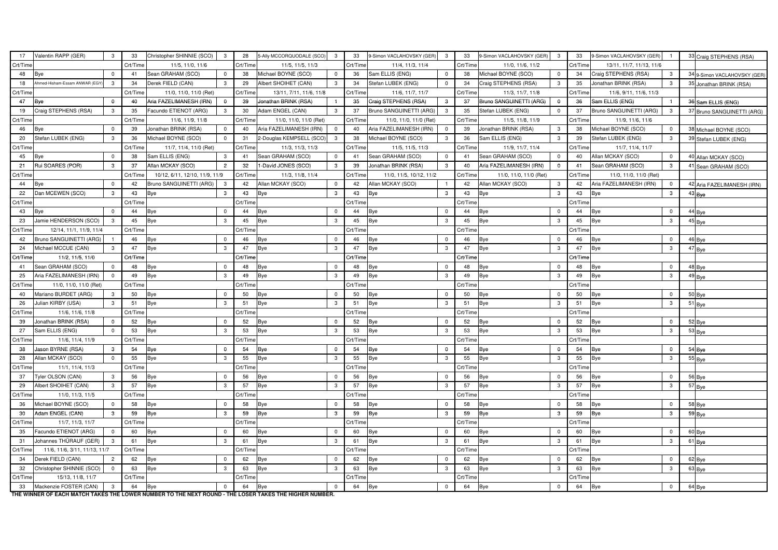| 17              | Valentin RAPP (GER)           | 3              | 33       | Christopher SHINNIE (SCO)      | $\mathbf{3}$   | 28       | 5-Ally MCCORQUODALE (SCO) | $\mathbf{3}$   | 33       | 9-Simon VACLAHOVSKY (GER) | 3            | 33       | 9-Simon VACLAHOVSKY (GER) | $\mathbf{3}$   | 33       | 9-Simon VACLAHOVSKY (GER) |                | 33 Craig STEPHENS (RSA)      |
|-----------------|-------------------------------|----------------|----------|--------------------------------|----------------|----------|---------------------------|----------------|----------|---------------------------|--------------|----------|---------------------------|----------------|----------|---------------------------|----------------|------------------------------|
| Crt/Time        |                               |                | Crt/Time | 11/5, 11/0, 11/6               |                | Crt/Time | 11/5, 11/5, 11/3          |                | Crt/Time | 11/4, 11/3, 11/4          |              | Crt/Time | 11/0, 11/6, 11/2          |                | Crt/Time | 13/11, 11/7, 11/13, 11/6  |                |                              |
| 48              | Bye                           | $\mathbf 0$    | 41       | Sean GRAHAM (SCO)              | $\overline{0}$ | 38       | Michael BOYNE (SCO)       | $\mathbf 0$    | 36       | Sam ELLIS (ENG)           | $\mathbf 0$  | 38       | Michael BOYNE (SCO)       | $\mathbf 0$    | 34       | Craig STEPHENS (RSA)      | $\mathbf{3}$   | 34 9-Simon VACLAHOVSKY (GER) |
| 18              | Ahmed-Hisham-Essam ANWAR (EGY | $\mathbf{3}$   | 34       | Derek FIELD (CAN)              | $\mathbf{3}$   | 29       | Albert SHOIHET (CAN)      | 3 <sup>1</sup> | 34       | Stefan LUBEK (ENG)        | $\Omega$     | 34       | Craig STEPHENS (RSA)      | $3^{\circ}$    | 35       | Jonathan BRINK (RSA)      | 3              | 35 Jonathan BRINK (RSA)      |
| Crt/Time        |                               |                | Crt/Time | 11/0, 11/0, 11/0 (Ret)         |                | Crt/Time | 13/11, 7/11, 11/6, 11/8   |                | Crt/Time | 11/6, 11/7, 11/7          |              | Crt/Time | 11/3, 11/7, 11/8          |                | Crt/Time | 11/6, 9/11, 11/6, 11/3    |                |                              |
| 47              | Bye                           | $\mathbf 0$    | 40       | Aria FAZELIMANESH (IRN)        | $\overline{0}$ | 39       | Jonathan BRINK (RSA)      |                | 35       | Craig STEPHENS (RSA)      | 3            | 37       | Bruno SANGUINETTI (ARG)   | $\overline{0}$ | 36       | Sam ELLIS (ENG)           |                | 36 Sam ELLIS (ENG)           |
| 19              | Craig STEPHENS (RSA)          | $3^{\circ}$    | 35       | Facundo ETIENOT (ARG)          | $\mathbf{3}$   | 30       | Adam ENGEL (CAN)          | $\mathbf{3}$   | 37       | Bruno SANGUINETTI (ARG)   | 3            | 35       | Stefan LUBEK (ENG)        | $\Omega$       | 37       | Bruno SANGUINETTI (ARG)   | $\mathbf{3}$   | 37 Bruno SANGUINETTI (ARG)   |
| Crt/Time        |                               |                | Crt/Time | 11/6, 11/9, 11/8               |                | Crt/Time | 11/0, 11/0, 11/0 (Ret)    |                | Crt/Time | 11/0, 11/0, 11/0 (Ret)    |              | Crt/Time | 11/5, 11/8, 11/9          |                | Crt/Time | 11/9, 11/6, 11/6          |                |                              |
| 46              | Bye                           | $\Omega$       | 39       | Jonathan BRINK (RSA)           | $\overline{0}$ | 40       | Aria FAZELIMANESH (IRN)   | $\mathbf 0$    | 40       | Aria FAZELIMANESH (IRN)   | $\Omega$     | 39       | Jonathan BRINK (RSA)      | $\mathbf{3}$   | 38       | Michael BOYNE (SCO)       | $\mathbf 0$    | 38 Michael BOYNE (SCO)       |
| 20              | Stefan LUBEK (ENG)            | $\mathbf{3}$   | 36       | Michael BOYNE (SCO)            | $\Omega$       | 31       | 2-Douglas KEMPSELL (SCO)  | $\mathbf{3}$   | 38       | Michael BOYNE (SCO)       | 3            | 36       | Sam ELLIS (ENG)           | $3^{\circ}$    | 39       | Stefan LUBEK (ENG)        | 3              | 39 Stefan LUBEK (ENG)        |
| Crt/Time        |                               |                | Crt/Time | 11/7, 11/4, 11/0 (Ret)         |                | Crt/Time | 11/3, 11/3, 11/3          |                | Crt/Time | 11/5, 11/5, 11/3          |              | Crt/Time | 11/9, 11/7, 11/4          |                | Crt/Time | 11/7, 11/4, 11/7          |                |                              |
| 45              | Bye                           | $\Omega$       | 38       | Sam ELLIS (ENG)                | $\mathbf{3}$   | 41       | Sean GRAHAM (SCO)         | $\overline{0}$ | 41       | Sean GRAHAM (SCO)         | $\mathbf 0$  | 41       | Sean GRAHAM (SCO)         | $\overline{0}$ | 40       | Allan MCKAY (SCO)         | $\overline{0}$ | 40 Allan MCKAY (SCO)         |
| 21              | Rui SOARES (POR)              | $\mathbf{3}$   | 37       | Allan MCKAY (SCO)              | $\overline{2}$ | 32       | 1-David JONES (SCO)       | 3 <sup>1</sup> | 39       | Jonathan BRINK (RSA)      | $\mathbf{3}$ | 40       | Aria FAZELIMANESH (IRN)   | $\mathbf 0$    | 41       | Sean GRAHAM (SCO)         | $\mathbf{3}$   | 41 Sean GRAHAM (SCO)         |
| Crt/Time        |                               |                | Crt/Time | 10/12, 6/11, 12/10, 11/9, 11/9 |                | Crt/Time | 11/3, 11/8, 11/4          |                | Crt/Time | 11/0, 11/5, 10/12, 11/2   |              | Crt/Time | 11/0, 11/0, 11/0 (Ret)    |                | Crt/Time | 11/0, 11/0, 11/0 (Ret)    |                |                              |
| 44              | <b>Bye</b>                    | $\mathbf 0$    | 42       | Bruno SANGUINETTI (ARG)        |                | 42       | Allan MCKAY (SCO)         | $\overline{0}$ | 42       | Allan MCKAY (SCO)         |              | 42       | Allan MCKAY (SCO)         | $\mathbf{3}$   | 42       | Aria FAZELIMANESH (IRN)   | $\mathbf 0$    | 42 Aria FAZELIMANESH (IRN)   |
| 22              | Dan MCEWEN (SCO)              | $\mathbf{3}$   | 43       | Bye                            | $3^{\circ}$    | 43       | Bye                       | 3 <sup>1</sup> | 43       | Bye                       | 3            | 43       | Bye                       | $\mathbf{3}$   | 43       | <b>Bye</b>                | $\mathbf{3}$   | $43$ Bye                     |
| Crt/Time        |                               |                | Crt/Time |                                |                | Crt/Time |                           |                | Crt/Time |                           |              | Crt/Time |                           |                | Crt/Time |                           |                |                              |
| 43              | Bye                           | $\Omega$       | 44       | <b>Bye</b>                     | $\Omega$       | 44       | <b>Bye</b>                | $\overline{0}$ | 44       | <b>Bye</b>                | $\Omega$     | 44       | Bye                       | $\mathbf 0$    | 44       | Bye                       | $\overline{0}$ | 44 Bye                       |
| 23              | Jamie HENDERSON (SCO)         | $\mathbf{3}$   | 45       | Bye                            | $\mathbf{3}$   | 45       | Bye                       | 3              | 45       | <b>Bye</b>                | 3            | 45       | Bye                       | $\mathbf{3}$   | 45       | <b>Bye</b>                | $\mathbf{3}$   | 45 Bye                       |
| Crt/Time        | 12/14, 11/1, 11/9, 11/4       |                | Crt/Time |                                |                | Crt/Time |                           |                | Crt/Time |                           |              | Crt/Time |                           |                | Crt/Time |                           |                |                              |
| 42              | Bruno SANGUINETTI (ARG)       |                | 46       | Bye                            | $\overline{0}$ | 46       | Bye                       | $\mathbf 0$    | 46       | Bye                       | $\Omega$     | 46       | Bye                       | $\mathbf 0$    | 46       | Bye                       | $\mathbf 0$    | 46 Bye                       |
| 24              | Michael MCCUE (CAN)           | $\mathbf{3}$   | 47       | <b>Bye</b>                     | 3              | 47       | <b>Bye</b>                | 3              | 47       | Bye                       | 3            | 47       | Bye                       | 3              | 47       | <b>Bye</b>                | 3              | 47 Bye                       |
| Crt/Time        | 11/2, 11/5, 11/0              |                | Crt/Time |                                |                | Crt/Time |                           |                | Crt/Time |                           |              | Crt/Time |                           |                | Crt/Time |                           |                |                              |
| 41              | Sean GRAHAM (SCO)             | $\mathbf 0$    | 48       | Bye                            | $\overline{0}$ | 48       | Bye                       | $\mathbf 0$    | 48       | Bye                       | $\Omega$     | 48       | Bye                       | $\mathbf 0$    | 48       | <b>Bye</b>                | $\mathbf 0$    | 48 Bye                       |
| 25              | Aria FAZELIMANESH (IRN)       | $\Omega$       | 49       | <b>Bye</b>                     | $\mathbf{3}$   | 49       | Bye                       | 3              | 49       | Bye                       | 3            | 49       | Bye                       | 3              | 49       | <b>Bye</b>                | 3              | 49 Bye                       |
| Crt/Time        | 11/0, 11/0, 11/0 (Ret)        |                | Crt/Time |                                |                | Crt/Time |                           |                | Crt/Time |                           |              | Crt/Time |                           |                | Crt/Time |                           |                |                              |
| 40              | Mariano BURDET (ARG)          | $\mathbf{3}$   | 50       | Bye                            | $\Omega$       | 50       | Bye                       | $\mathbf 0$    | 50       | <b>Bye</b>                | $\Omega$     | 50       | Bye                       | $\overline{0}$ | 50       | <b>Bye</b>                | $\mathbf 0$    | $50$ Bye                     |
| 26              | Julian KIRBY (USA)            | $\mathbf{3}$   | 51       | <b>Bye</b>                     | 3              | 51       | Bye                       | 3              | 51       | Bye                       | 3            | 51       | Bye                       | 3              | 51       | <b>Bye</b>                | 3              | $51$ Bye                     |
| Crt/Time        | 11/6, 11/6, 11/8              |                | Crt/Time |                                |                | Crt/Time |                           |                | Crt/Time |                           |              | Crt/Time |                           |                | Crt/Time |                           |                |                              |
| 39              | Jonathan BRINK (RSA)          | $\Omega$       | 52       | Bye                            | $\Omega$       | 52       | Bye                       | $\mathbf 0$    | 52       | Bye                       | $\Omega$     | 52       | Bye                       | $\overline{0}$ | 52       | <b>Bye</b>                | $\overline{0}$ | 52 Bye                       |
| 27              | Sam ELLIS (ENG)               | $\Omega$       | 53       | <b>Bye</b>                     | 3              | 53       | Bye                       | 3              | 53       | Bye                       | 3            | 53       | Bye                       | 3              | 53       | <b>Bye</b>                | 3              | $53$ Bye                     |
| Crt/Time        | 11/6, 11/4, 11/9              |                | Crt/Time |                                |                | Crt/Time |                           |                | Crt/Time |                           |              | Crt/Time |                           |                | Crt/Time |                           |                |                              |
| 38              | Jason BYRNE (RSA)             | $\mathbf{3}$   | 54       | Bye                            | $\overline{0}$ | 54       | <b>Bye</b>                | $\overline{0}$ | 54       | Bye                       | $\mathbf 0$  | 54       | Bye                       | $\overline{0}$ | 54       | <b>Bye</b>                | $\mathbf 0$    | $54$ Bye                     |
| 28              | Allan MCKAY (SCO)             | $\Omega$       | 55       | <b>Bye</b>                     | $\mathbf{3}$   | 55       | <b>Bye</b>                | 3              | 55       | Bye                       | 3            | 55       | Bye                       | 3              | 55       | <b>Bye</b>                | 3              | $55$ Bye                     |
| Crt/Time        | 11/1, 11/4, 11/3              |                | Crt/Time |                                |                | Crt/Time |                           |                | Crt/Time |                           |              | Crt/Time |                           |                | Crt/Time |                           |                |                              |
| 37              | Tyler OLSON (CAN)             | $\mathbf{3}$   | 56       | <b>Bye</b>                     | 0              | 56       | <b>Bye</b>                | $\mathbf 0$    | 56       | Bye                       | $\mathbf{0}$ | 56       | Bye                       | $\mathbf 0$    | 56       | <b>Bye</b>                | $\mathbf 0$    | 56 Bye                       |
| 29              | Albert SHOIHET (CAN)          | 3              | 57       | <b>Bye</b>                     | $\mathbf{3}$   | 57       | <b>Bye</b>                | 3              | 57       | Bye                       | 3            | 57       | Bye                       | $\mathbf{3}$   | 57       | <b>Bye</b>                | 3              | $57$ Bye                     |
| Crt/Time        | 11/0, 11/3, 11/5              |                | Crt/Time |                                |                | Crt/Time |                           |                | Crt/Time |                           |              | Crt/Time |                           |                | Crt/Time |                           |                |                              |
| 36              | Michael BOYNE (SCO)           | $\mathbf 0$    | 58       | <b>Bye</b>                     | $\mathbf 0$    | 58       | <b>Bye</b>                | $\mathbf 0$    | 58       | Bye                       | $\mathbf 0$  | 58       | Bye                       | $\overline{0}$ | 58       | <b>Bye</b>                | $\mathbf 0$    | 58 Bye                       |
| 30 <sub>o</sub> | Adam ENGEL (CAN)              | $\mathbf{3}$   | 59       | <b>Bye</b>                     | $\mathbf{3}$   | 59       | Bye                       | $\mathbf{3}$   | 59       | <b>Bye</b>                | 3            | 59       | <b>Bye</b>                | $\mathbf{3}$   | 59       | Bye                       | $\mathbf{3}$   | 59 Bye                       |
| Crt/Time        | 11/7, 11/3, 11/7              |                | Crt/Time |                                |                | Crt/Time |                           |                | Crt/Time |                           |              | Crt/Time |                           |                | Crt/Time |                           |                |                              |
| 35              | Facundo ETIENOT (ARG)         | $\mathbf 0$    | 60       | <b>Bye</b>                     | $\mathbf 0$    | 60       | <b>Bye</b>                | $\mathbf 0$    | 60       | <b>Bye</b>                | $\mathbf 0$  | 60       | Bye                       | $\overline{0}$ | 60       | <b>Bye</b>                | $\overline{0}$ | 60 Bye                       |
| 31              | Johannes THÜRAUF (GER)        | 3              | 61       | <b>Bye</b>                     | $\mathbf{3}$   | 61       | Bye                       | 3              | 61       | Bye                       | 3            | 61       | Bye                       | 3              | 61       | <b>Bye</b>                | 3              | $61$ Bye                     |
| Crt/Time        | 11/6, 11/6, 3/11, 11/13, 11/7 |                | Crt/Time |                                |                | Crt/Time |                           |                | Crt/Time |                           |              | Crt/Time |                           |                | Crt/Time |                           |                |                              |
| 34              | Derek FIELD (CAN)             | $\overline{2}$ | 62       | <b>Bye</b>                     | $\mathbf 0$    | 62       | Bye                       | $\mathbf 0$    | 62       | <b>Bye</b>                | $\mathbf{0}$ | 62       | <b>Bye</b>                | $\overline{0}$ | 62       | <b>Bye</b>                | $\mathbf 0$    | $62$ Bye                     |
| 32              | Christopher SHINNIE (SCO)     | $\overline{0}$ | 63       | <b>Bye</b>                     | $\mathbf{3}$   | 63       | <b>Bye</b>                | 3              | 63       | <b>Bye</b>                | 3            | 63       | Bye                       | 3              | 63       | <b>Bye</b>                | 3              | 63 Bye                       |
| Crt/Time        | 15/13, 11/8, 11/7             |                | Crt/Time |                                |                | Crt/Time |                           |                | Crt/Time |                           |              | Crt/Time |                           |                | Crt/Time |                           |                |                              |
| 33              | Mackenzie FOSTER (CAN)        | 3              | 64       | <b>Bye</b>                     | 0              | 64       | <b>Bye</b>                | $\mathbf 0$    | 64       | <b>Bye</b>                | $\mathbf{0}$ | 64       | <b>Bye</b>                | $\overline{0}$ | 64       | <b>Bye</b>                | $\overline{0}$ | 64 Bye                       |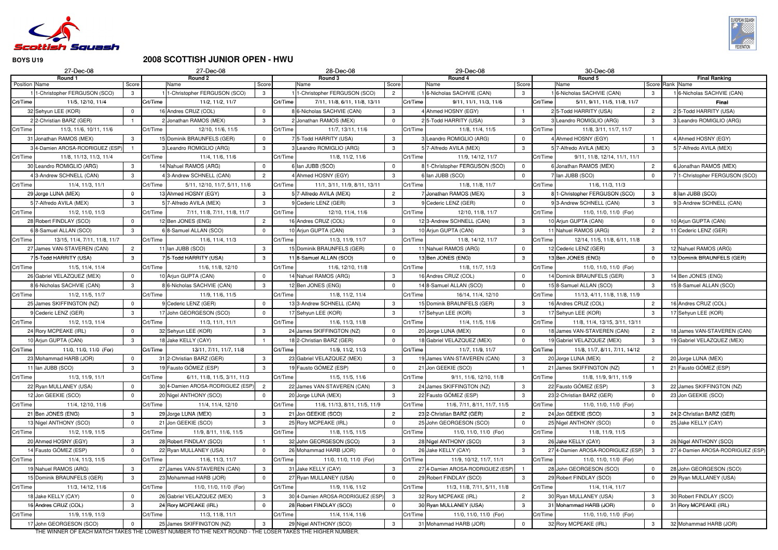

# **2008 SCOTTISH JUNIOR OPEN - HWU**

| 27-Dec-08                                               |                                |          | 27-Dec-08                                           |                |          | 28-Dec-08                                                    |                |          | 29-Dec-08                                       |                                | 30-Dec-08                                        |                |                                                  |
|---------------------------------------------------------|--------------------------------|----------|-----------------------------------------------------|----------------|----------|--------------------------------------------------------------|----------------|----------|-------------------------------------------------|--------------------------------|--------------------------------------------------|----------------|--------------------------------------------------|
| Round 1<br>Position Name                                | Score                          |          | Round 2<br>Name                                     | Score          |          | Round 3<br>Name                                              | Score          |          | Round 4<br>Name                                 | Score                          | Round 5<br>Name                                  |                | <b>Final Ranking</b><br>Score Rank Name          |
| 1-Christopher FERGUSON (SCO)                            | 3                              |          | -Christopher FERGUSON (SCO)                         | 3              |          | 1-Christopher FERGUSON (SCO)                                 | $\overline{2}$ |          | 6-Nicholas SACHVIE (CAN)                        | $\mathbf{3}$                   | 6-Nicholas SACHVIE (CAN)                         | 3              | 16-Nicholas SACHVIE (CAN)                        |
| Crt/Time<br>11/5, 12/10, 11/4                           |                                | Crt/Time | 11/2, 11/2, 11/7                                    |                | Crt/Time | 7/11, 11/8, 6/11, 11/8, 13/11                                |                | Crt/Time | 9/11, 11/1, 11/3, 11/6                          |                                | Crt/Time<br>5/11, 9/11, 11/5, 11/8, 11/7         |                | <b>Final</b>                                     |
| 32 Sehyun LEE (KOR)                                     | $\overline{0}$                 |          | 16 Andres CRUZ (COL)                                | $\Omega$       |          | 8 6-Nicholas SACHVIE (CAN)                                   | 3              |          | 4 Ahmed HOSNY (EGY)                             |                                | 25-Todd HARRITY (USA)                            | $\overline{2}$ | 2 5-Todd HARRITY (USA)                           |
| 2 2-Christian BARZ (GER)                                |                                |          | 2 Jonathan RAMOS (MEX)                              | 3              |          | 2 Jonathan RAMOS (MEX)                                       | $\Omega$       |          | 25-Todd HARRITY (USA)                           | $\mathbf{3}$                   | Leandro ROMIGLIO (ARG)                           | 3              | 3 Leandro ROMIGLIO (ARG)                         |
| Crt/Time<br>11/3, 11/6, 10/11, 11/6                     |                                | Crt/Time | 12/10, 11/6, 11/5                                   |                | Crt/Time | 11/7, 13/11, 11/6                                            |                | Crt/Time | 11/8, 11/4, 11/5                                |                                | Crt/Time<br>11/8, 3/11, 11/7, 11/7               |                |                                                  |
| 31 Jonathan RAMOS (MEX)                                 | 3                              |          | 15 Dominik BRAUNFELS (GER)                          |                |          | 75-Todd HARRITY (USA)                                        | 3              |          | 3 Leandro ROMIGLIO (ARG)                        | $\overline{0}$                 | 4 Ahmed HOSNY (EGY)                              |                | 4 Ahmed HOSNY (EGY)                              |
| 4-Damien AROSA-RODRIGUEZ (ESP)                          |                                |          | Leandro ROMIGLIO (ARG)                              |                |          | 3 Leandro ROMIGLIO (ARG)                                     | $\mathcal{B}$  |          | 5 7-Alfredo AVILA (MEX)                         | $\mathbf{3}$                   | 57-Alfredo AVILA (MEX)                           | 3              | 5 7-Alfredo AVILA (MEX)                          |
| Crt/Time<br>11/8, 11/13, 11/3, 11/4                     |                                | Crt/Time | 11/4, 11/6, 11/6                                    |                | Crt/Time | 11/8, 11/2, 11/6                                             |                | Crt/Time | 11/9, 14/12, 11/7                               |                                | Crt/Time<br>9/11, 11/8, 12/14, 11/1, 11/1        |                |                                                  |
| 30 Leandro ROMIGLIO (ARG)                               | $\mathbf{3}$                   |          | 14 Nahuel RAMOS (ARG)                               | $\Omega$       |          | 6 Ian JUBB (SCO)                                             |                |          | 8 1-Christopher FERGUSON (SCO)                  | $\overline{0}$                 | 6 Jonathan RAMOS (MEX)                           | $\overline{2}$ | 6 Jonathan RAMOS (MEX)                           |
| 13-Andrew SCHNELL (CAN)                                 | $\mathbf{3}$                   |          | 3-Andrew SCHNELL (CAN)                              | $\overline{2}$ |          | 4 Ahmed HOSNY (EGY)                                          | 3              |          | 6 Ian JUBB (SCO)                                | $\overline{0}$                 | 7 Ian JUBB (SCO)                                 | $\mathbf{0}$   | 71-Christopher FERGUSON (SCO)                    |
| Crt/Time<br>11/4, 11/3, 11/1                            |                                | Crt/Time | 5/11, 12/10, 11/7, 5/11, 11/6                       |                | Crt/Time | 11/1, 3/11, 11/9, 8/11, 13/11                                |                | Crt/Time | 11/8, 11/8, 11/7                                |                                | 11/6, 11/3, 11/3<br>Crt/Time                     |                |                                                  |
| 29 Jorge LUNA (MEX)                                     | $\mathbf 0$                    |          | 13 Ahmed HOSNY (EGY)                                | 3              |          | 5 7-Alfredo AVILA (MEX)                                      | $\overline{2}$ |          | 7 Jonathan RAMOS (MEX)                          | $\mathbf{3}$                   | 8 1-Christopher FERGUSON (SCO)                   | $\mathbf{3}$   | 8 Ian JUBB (SCO)                                 |
| 7-Alfredo AVILA (MEX)                                   | 3                              |          | 5 7-Alfredo AVILA (MEX)                             | -3             |          | 9 Cederic LENZ (GER)                                         | 3              |          | 9 Cederic LENZ (GER)                            | $\overline{0}$                 | 9 3-Andrew SCHNELL (CAN)                         | 3              | 9 3-Andrew SCHNELL (CAN)                         |
| Crt/Time<br>11/2, 11/0, 11/3                            |                                | Crt/Time | 7/11, 11/8, 7/11, 11/8, 11/7                        |                | Crt/Time | 12/10, 11/4, 11/6                                            |                | Crt/Time | 12/10, 11/8, 11/7                               |                                | Crt/Time<br>11/0, 11/0, 11/0 (For)               |                |                                                  |
| 28 Robert FINDLAY (SCO)                                 | $\overline{0}$                 |          | 12 Ben JONES (ENG)                                  | $\overline{2}$ |          | 16 Andres CRUZ (COL)                                         | $\Omega$       |          | 12 3-Andrew SCHNELL (CAN)                       | $\mathbf{3}$                   | 10 Arjun GUPTA (CAN)                             | $\mathbf 0$    | 10 Arjun GUPTA (CAN)                             |
| 6 8-Samuel ALLAN (SCO)                                  | 3                              |          | 6 8-Samuel ALLAN (SCO)                              | $\Omega$       |          | 10 Arjun GUPTA (CAN)                                         | 3              |          | 10 Ariun GUPTA (CAN)                            | $\mathbf{3}$                   | 11 Nahuel RAMOS (ARG)                            | $\overline{2}$ | 11 Cederic LENZ (GER)                            |
| Crt/Time<br>13/15, 11/4, 7/11, 11/8, 11/7               |                                | Crt/Time | 11/6, 11/4, 11/3                                    |                | Crt/Time | 11/3, 11/9, 11/7                                             |                | Crt/Time | 11/8, 14/12, 11/7                               |                                | Crt/Time<br>12/14, 11/5, 11/8, 6/11, 11/8        |                |                                                  |
| 27 James VAN-STAVEREN (CAN)                             | $\overline{c}$                 |          | 11 Ian JUBB (SCO)                                   | 3              |          | 15 Dominik BRAUNFELS (GER)                                   | $\Omega$       |          | 11 Nahuel RAMOS (ARG)                           | $\overline{0}$                 | 12 Cederic LENZ (GER)                            | 3              | 12 Nahuel RAMOS (ARG)                            |
| <b>15-Todd HARRITY (USA)</b>                            | $\mathbf{3}$                   |          | 5-Todd HARRITY (USA)                                | $\mathbf{3}$   |          | 118-Samuel ALLAN (SCO)                                       | $\Omega$       |          | 13 Ben JONES (ENG)                              | $\mathbf{3}$                   | 13 Ben JONES (ENG)                               | $\mathbf{0}$   | 13 Dominik BRAUNFELS (GER)                       |
| Crt/Time<br>11/5, 11/4, 11/4                            |                                | Crt/Time | 11/6, 11/8, 12/10                                   |                | Crt/Time | 11/6, 12/10, 11/8                                            |                | Crt/Time | 11/8, 11/7, 11/3                                |                                | Crt/Time<br>11/0, 11/0, 11/0 (For)               |                |                                                  |
| 26 Gabriel VELAZQUEZ (MEX)                              | $\overline{0}$                 |          | 10 Arjun GUPTA (CAN)                                | $\Omega$       |          | 14 Nahuel RAMOS (ARG)                                        | 3              |          | 16 Andres CRUZ (COL)                            | $\overline{0}$                 | 14 Dominik BRAUNFELS (GER)                       | $\mathbf{3}$   | 14 Ben JONES (ENG)                               |
| 8 6-Nicholas SACHVIE (CAN)                              | $\mathbf{3}$                   |          | 8 6-Nicholas SACHVIE (CAN)                          | 3              |          | 12 Ben JONES (ENG)                                           | $\Omega$       |          | 14 8-Samuel ALLAN (SCO)                         | $\overline{0}$                 | 15 8-Samuel ALLAN (SCO)                          | $\mathbf{3}$   | 15 8-Samuel ALLAN (SCO)                          |
| Crt/Time<br>11/2, 11/5, 11/7                            |                                | Crt/Time | 11/9, 11/6, 11/5                                    |                | Crt/Time | 11/8, 11/2, 11/4                                             |                | Crt/Time | 16/14, 11/4, 12/10                              |                                | Crt/Time<br>11/13, 4/11, 11/8, 11/8, 11/9        |                |                                                  |
| 25 James SKIFFINGTON (NZ)                               | $\Omega$                       |          | 9 Cederic LENZ (GER)                                | $\Omega$       |          | 13 3-Andrew SCHNELL (CAN)                                    | 3              |          | 15 Dominik BRAUNFELS (GER)                      | $\mathbf{3}$                   | 16 Andres CRUZ (COL)                             | $\overline{2}$ | 16 Andres CRUZ (COL)                             |
| 9 Cederic LENZ (GER)                                    | $\mathbf{3}$                   |          | 17 John GEORGESON (SCO)                             |                |          | 17 Sehyun LEE (KOR)                                          | $\mathbf{3}$   |          | 17 Sehyun LEE (KOR)                             | $\mathbf{3}$                   | 17 Sehyun LEE (KOR)                              | $\mathbf{3}$   | 17 Sehyun LEE (KOR)                              |
| Crt/Time<br>11/2, 11/3, 11/4                            |                                | Crt/Time | 11/3, 11/1, 11/1                                    |                | Crt/Time | 11/6, 11/3, 11/8                                             |                | Crt/Time | 11/4, 11/5, 11/6                                |                                | Crt/Time<br>11/8, 11/4, 13/15, 3/11, 13/11       |                |                                                  |
| 24 Rory MCPEAKE (IRL)                                   | $\overline{0}$                 |          | 32 Sehyun LEE (KOR)                                 | -3             |          | 24 James SKIFFINGTON (NZ)                                    | $\Omega$       |          | 20 Jorge LUNA (MEX)                             | $\overline{0}$                 | 18 James VAN-STAVEREN (CAN)                      | $\overline{2}$ | 18 James VAN-STAVEREN (CAN)                      |
| 10 Arjun GUPTA (CAN)                                    | $\mathbf{3}$                   |          | 18 Jake KELLY (CAY)                                 |                |          | 18 2-Christian BARZ (GER)                                    | $\Omega$       |          | 18 Gabriel VELAZQUEZ (MEX)                      | $\overline{0}$                 | 19 Gabriel VELAZQUEZ (MEX)                       | -3             | 19 Gabriel VELAZQUEZ (MEX)                       |
| Crt/Time<br>11/0, 11/0, 11/0 (For)                      |                                | Crt/Time | 13/11, 7/11, 11/7, 11/8                             |                | Crt/Time | 11/9, 11/2, 11/3                                             |                | Crt/Time | 11/7, 11/9, 11/7                                |                                | 11/8, 11/7, 8/11, 7/11, 14/12<br>Crt/Time        |                |                                                  |
| 23 Mohammad HARB (JOR)                                  | $\overline{0}$                 |          | 31 2-Christian BARZ (GER)                           | -3             |          | 23 Gabriel VELAZQUEZ (MEX)                                   | 3              |          | 19 James VAN-STAVEREN (CAN)                     | $\mathbf{3}$                   | 20 Jorge LUNA (MEX)                              | $\overline{2}$ | 20 Jorge LUNA (MEX)                              |
| 11 Ian JUBB (SCO)                                       | 3 <sup>3</sup>                 |          | 19 Fausto GÓMEZ (ESP)                               | $\mathbf{3}$   |          | 19 Fausto GÓMEZ (ESP)                                        | $\Omega$       |          | 21 Jon GEEKIE (SCO)                             |                                | 21 James SKIFFINGTON (NZ)                        |                | 21 Fausto GÓMEZ (ESP)                            |
| Crt/Time<br>11/3, 11/9, 11/1                            |                                | Crt/Time | 6/11, 11/8, 11/5, 3/11, 11/3                        |                | Crt/Time | 11/5, 11/5, 11/6                                             |                | Crt/Time | 9/11, 11/6, 12/10, 11/8                         |                                | Crt/Time<br>11/8, 11/9, 9/11, 11/9               |                |                                                  |
| 22 Ryan MULLANEY (USA)                                  | $\overline{0}$                 |          | 30 4-Damien AROSA-RODRIGUEZ (ESP)                   | $\overline{2}$ |          | 22 James VAN-STAVEREN (CAN)                                  | 3              |          | 24 James SKIFFINGTON (NZ)                       | $\mathbf{3}$                   | 22 Fausto GÓMEZ (ESP)                            | 3              | 22 James SKIFFINGTON (NZ)                        |
| 12 Jon GEEKIE (SCO)                                     | $\Omega$                       |          | 20 Nigel ANTHONY (SCO)                              | $\Omega$       |          | 20 Jorge LUNA (MEX)                                          | 3              |          | 22 Fausto GÓMEZ (ESP)                           | $\mathbf{3}$                   | 23 2-Christian BARZ (GER)                        | $\mathbf 0$    | 23 Jon GEEKIE (SCO)                              |
| Crt/Time<br>11/4, 12/10, 11/6                           |                                | Crt/Time | 11/4, 11/4, 12/10                                   |                | Crt/Time | 11/6, 11/13, 8/11, 11/5, 11/9                                |                | Crt/Time | 11/6, 7/11, 8/11, 11/7, 11/5                    |                                | 11/0, 11/0, 11/0 (For)<br>Crt/Time               |                |                                                  |
| 21 Ben JONES (ENG)                                      | $\mathbf{3}$                   |          | 29 Jorge LUNA (MEX)                                 | $\mathbf{3}$   |          | 21 Jon GEEKIE (SCO)                                          | $\overline{2}$ |          | 23 2-Christian BARZ (GER)                       | $\overline{2}$                 | 24 Jon GEEKIE (SCO)                              | $\mathbf{3}$   | 24 2-Christian BARZ (GER)                        |
| 13 Nigel ANTHONY (SCO)                                  | $\Omega$                       |          | 21 Jon GEEKIE (SCO)                                 | $\mathbf{3}$   |          | 25 Rory MCPEAKE (IRL)                                        | $\Omega$       |          | 25 John GEORGESON (SCO)                         | $\overline{0}$                 | 25 Nigel ANTHONY (SCO)                           | $\mathbf 0$    | 25 Jake KELLY (CAY)                              |
| Crt/Time<br>11/2, 11/9, 11/5                            |                                | Crt/Time | 11/9, 8/11, 11/6, 11/5                              |                | Crt/Time | 11/8, 11/5, 11/5                                             |                | Crt/Time | 11/0, 11/0, 11/0 (For)                          |                                | Crt/Time<br>11/8, 11/9, 11/5                     |                |                                                  |
| 20 Ahmed HOSNY (EGY)                                    | $\mathbf{3}$                   |          | 28 Robert FINDLAY (SCO)                             |                |          | 32 John GEORGESON (SCO)                                      | 3              |          | 28 Nigel ANTHONY (SCO)                          | $\mathbf{3}$                   | 26 Jake KELLY (CAY)                              | 3              | 26 Nigel ANTHONY (SCO)                           |
| 14 Fausto GÓMEZ (ESP)                                   | $\overline{0}$                 |          | 22 Ryan MULLANEY (USA)                              |                |          | 26 Mohammad HARB (JOR)                                       | $\Omega$       |          | 26 Jake KELLY (CAY)                             | $\mathbf{3}$                   | 27 4-Damien AROSA-RODRIGUEZ (ESP                 | $\mathbf{3}$   | 27 4-Damien AROSA-RODRIGUEZ (ESP)                |
| Crt/Time<br>11/4, 11/3, 11/5                            |                                | Crt/Time | 11/6, 11/3, 11/7                                    |                | Crt/Time | 11/0, 11/0, 11/0 (For)                                       |                | Crt/Time | 11/9, 10/12, 11/7, 11/1                         |                                | Crt/Time<br>11/0, 11/0, 11/0 (For)               |                |                                                  |
| 19 Nahuel RAMOS (ARG)                                   | $\mathbf{3}$                   |          | 27 James VAN-STAVEREN (CAN)                         | $\mathbf{3}$   |          | 31 Jake KELLY (CAY)                                          | $\mathbf{3}$   |          | 27 4-Damien AROSA-RODRIGUEZ (ESP)               |                                | 28 John GEORGESON (SCO)                          | $\mathbf{0}$   | 28 John GEORGESON (SCO)                          |
| 15 Dominik BRAUNFELS (GER)                              | $\mathbf{3}$                   |          | 23 Mohammad HARB (JOR)                              | $\Omega$       |          | 27 Ryan MULLANEY (USA)                                       | $\Omega$       |          | 29 Robert FINDLAY (SCO)                         | $\mathbf{3}$                   | 29 Robert FINDLAY (SCO)                          | $\mathbf 0$    | 29 Ryan MULLANEY (USA)                           |
| 11/3, 14/12, 11/6<br>Crt/Time                           |                                | Crt/Time | 11/0, 11/0, 11/0 (For)                              |                | Crt/Time | 11/9, 11/6, 11/2                                             |                | Crt/Time | 11/3, 11/8, 7/11, 5/11, 11/8                    |                                | 11/4, 11/4, 11/7<br>Crt/Time                     |                |                                                  |
| 18 Jake KELLY (CAY)                                     | $\overline{0}$<br>$\mathbf{3}$ |          | 26 Gabriel VELAZQUEZ (MEX)<br>24 Rory MCPEAKE (IRL) | 3<br>$\Omega$  |          | 30 4-Damien AROSA-RODRIGUEZ (ESP)<br>28 Robert FINDLAY (SCO) | 3<br>$\Omega$  |          | 32 Rory MCPEAKE (IRL)<br>30 Ryan MULLANEY (USA) | $\overline{2}$<br>$\mathbf{3}$ | 30 Ryan MULLANEY (USA)<br>31 Mohammad HARB (JOR) | 3              | 30 Robert FINDLAY (SCO)<br>31 Rory MCPEAKE (IRL) |
| 16 Andres CRUZ (COL)                                    |                                | Crt/Time | 11/3, 11/8, 11/1                                    |                | Crt/Time |                                                              |                | Crt/Time | 11/0, 11/0, 11/0 (For)                          |                                | Crt/Time<br>11/0, 11/0, 11/0 (For)               | $\bf{0}$       |                                                  |
| Crt/Time<br>11/9, 11/9, 11/3<br>17 John GEORGESON (SCO) | $\overline{0}$                 |          |                                                     | $\mathbf{3}$   |          | 11/4, 11/4, 11/6                                             | 3              |          |                                                 | $\overline{0}$                 | 32 Rory MCPEAKE (IRL)                            |                | 32 Mohammad HARB (JOR)                           |
|                                                         |                                |          | 25 James SKIFFINGTON (NZ)                           |                |          | 29 Nigel ANTHONY (SCO)                                       |                |          | 31 Mohammad HARB (JOR)                          |                                |                                                  | $\mathbf{3}$   |                                                  |

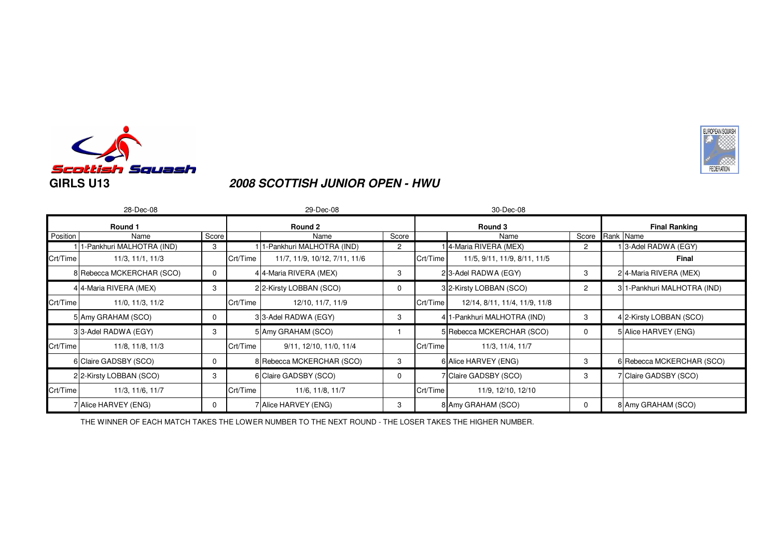

### **2008 SCOTTISH JUNIOR OPEN - HWU**

|          | 28-Dec-08                 |       |          | 29-Dec-08                     |       |          | 30-Dec-08                     |                 |                            |
|----------|---------------------------|-------|----------|-------------------------------|-------|----------|-------------------------------|-----------------|----------------------------|
|          | Round 1                   |       |          | Round 2                       |       |          | Round 3                       |                 | <b>Final Ranking</b>       |
| Position | Name                      | Score |          | Name                          | Score |          | Name                          | Score Rank Name |                            |
|          | 1-Pankhuri MALHOTRA (IND) | 3     |          | -Pankhuri MALHOTRA (IND)      | 2     |          | 4-Maria RIVERA (MEX)          | 2               | 3-Adel RADWA (EGY)         |
| Crt/Time | 11/3, 11/1, 11/3          |       | Crt/Time | 11/7, 11/9, 10/12, 7/11, 11/6 |       | Crt/Time | 11/5, 9/11, 11/9, 8/11, 11/5  |                 | Final                      |
|          | 8 Rebecca MCKERCHAR (SCO) | 0     |          | 4 4-Maria RIVERA (MEX)        | 3     |          | 23-Adel RADWA (EGY)           | 3               | 24-Maria RIVERA (MEX)      |
|          | 4 4-Maria RIVERA (MEX)    | 3     |          | 22-Kirsty LOBBAN (SCO)        | 0     |          | 32-Kirsty LOBBAN (SCO)        | $\overline{2}$  | 31-Pankhuri MALHOTRA (IND) |
| Crt/Time | 11/0, 11/3, 11/2          |       | Crt/Time | 12/10, 11/7, 11/9             |       | Crt/Time | 12/14, 8/11, 11/4, 11/9, 11/8 |                 |                            |
|          | 5 Amy GRAHAM (SCO)        | 0     |          | 33-Adel RADWA (EGY)           | 3     |          | 4 1-Pankhuri MALHOTRA (IND)   | 3               | 4 2-Kirsty LOBBAN (SCO)    |
|          | 33-Adel RADWA (EGY)       | 3     |          | 5 Amy GRAHAM (SCO)            |       |          | 5 Rebecca MCKERCHAR (SCO)     | 0               | 5 Alice HARVEY (ENG)       |
| Crt/Time | 11/8, 11/8, 11/3          |       | Crt/Time | 9/11, 12/10, 11/0, 11/4       |       | Crt/Time | 11/3, 11/4, 11/7              |                 |                            |
|          | 6 Claire GADSBY (SCO)     | 0     |          | 8 Rebecca MCKERCHAR (SCO)     | 3     |          | 6 Alice HARVEY (ENG)          | 3               | 6 Rebecca MCKERCHAR (SCO)  |
|          | 22-Kirsty LOBBAN (SCO)    | 3     |          | 6 Claire GADSBY (SCO)         | 0     |          | 7 Claire GADSBY (SCO)         | 3               | 7 Claire GADSBY (SCO)      |
| Crt/Time | 11/3, 11/6, 11/7          |       | Crt/Time | 11/6, 11/8, 11/7              |       | Crt/Time | 11/9, 12/10, 12/10            |                 |                            |
|          | 7 Alice HARVEY (ENG)      | 0     |          | 7 Alice HARVEY (ENG)          | 3     |          | 8 Amy GRAHAM (SCO)            | 0               | 8 Amy GRAHAM (SCO)         |

EUROPEAN SQUASH

**FEDERATION**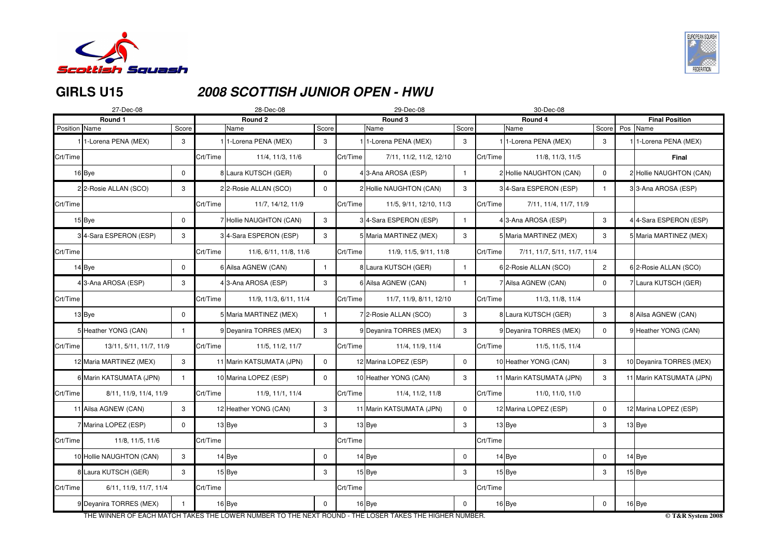

# **GIRLS U15**

# **2008 SCOTTISH JUNIOR OPEN - HWU**

|               | 27-Dec-08                         |              |          | 28-Dec-08                                                                                            |              |          | 29-Dec-08                |                |          | 30-Dec-08                         |                |                                               |
|---------------|-----------------------------------|--------------|----------|------------------------------------------------------------------------------------------------------|--------------|----------|--------------------------|----------------|----------|-----------------------------------|----------------|-----------------------------------------------|
|               | Round 1                           |              |          | Round <sub>2</sub>                                                                                   |              |          | Round 3                  |                |          | Round 4                           |                | <b>Final Position</b>                         |
| Position Name |                                   | Score        |          | Name                                                                                                 | Score        |          | Name                     | Score          |          | Name                              |                | Score Pos Name                                |
|               | 1 <sup>1</sup> -Lorena PENA (MEX) | 3            |          | 1-Lorena PENA (MEX)                                                                                  | 3            |          | I 1-Lorena PENA (MEX)    | 3              |          | 1 <sup>1</sup> -Lorena PENA (MEX) | 3              | 1 <sup>1</sup> -Lorena PENA (MEX)             |
| Crt/Time      |                                   |              | Crt/Time | 11/4, 11/3, 11/6                                                                                     |              | Crt/Time | 7/11, 11/2, 11/2, 12/10  |                | Crt/Time | 11/8, 11/3, 11/5                  |                | <b>Final</b>                                  |
|               | 16Bye                             | 0            |          | 8 Laura KUTSCH (GER)                                                                                 | $\mathbf 0$  |          | 43-Ana AROSA (ESP)       |                |          | 2 Hollie NAUGHTON (CAN)           | 0              | 2 Hollie NAUGHTON (CAN)                       |
|               | 22-Rosie ALLAN (SCO)              | 3            |          | 22-Rosie ALLAN (SCO)                                                                                 | $\mathbf 0$  |          | 2 Hollie NAUGHTON (CAN)  | 3              |          | 34-Sara ESPERON (ESP)             |                | 33-Ana AROSA (ESP)                            |
| Crt/Time      |                                   |              | Crt/Time | 11/7, 14/12, 11/9                                                                                    |              | Crt/Time | 11/5, 9/11, 12/10, 11/3  |                | Crt/Time | 7/11, 11/4, 11/7, 11/9            |                |                                               |
|               | 15 Bye                            | 0            |          | Hollie NAUGHTON (CAN)                                                                                | $\mathbf{3}$ |          | 34-Sara ESPERON (ESP)    |                |          | 4 3-Ana AROSA (ESP)               | 3              | 4 4-Sara ESPERON (ESP)                        |
|               | 34-Sara ESPERON (ESP)             | 3            |          | 34-Sara ESPERON (ESP)                                                                                | 3            |          | 5 Maria MARTINEZ (MEX)   | 3              |          | 5 Maria MARTINEZ (MEX)            | 3              | 5 Maria MARTINEZ (MEX)                        |
| Crt/Time      |                                   |              | Crt/Time | 11/6, 6/11, 11/8, 11/6                                                                               |              | Crt/Time | 11/9, 11/5, 9/11, 11/8   |                | Crt/Time | 7/11, 11/7, 5/11, 11/7, 11/4      |                |                                               |
|               | 14 Bye                            | 0            |          | 6 Ailsa AGNEW (CAN)                                                                                  | -1           |          | 8 Laura KUTSCH (GER)     |                |          | 6 2-Rosie ALLAN (SCO)             | $\overline{2}$ | 6 2-Rosie ALLAN (SCO)                         |
|               | 43-Ana AROSA (ESP)                | 3            |          | 43-Ana AROSA (ESP)                                                                                   | 3            |          | 6 Ailsa AGNEW (CAN)      |                |          | 7 Ailsa AGNEW (CAN)               | $\mathbf 0$    | 7 Laura KUTSCH (GER)                          |
| Crt/Time      |                                   |              | Crt/Time | 11/9, 11/3, 6/11, 11/4                                                                               |              | Crt/Time | 11/7, 11/9, 8/11, 12/10  |                | Crt/Time | 11/3, 11/8, 11/4                  |                |                                               |
|               | $13$ Bye                          | 0            |          | 5 Maria MARTINEZ (MEX)                                                                               | $\mathbf{1}$ |          | 7 2-Rosie ALLAN (SCO)    | 3              |          | 8 Laura KUTSCH (GER)              | 3              | 8 Ailsa AGNEW (CAN)                           |
|               | 5 Heather YONG (CAN)              | -1           |          | 9 Deyanira TORRES (MEX)                                                                              | 3            |          | 9 Deyanira TORRES (MEX)  | $\mathbf{3}$   |          | 9 Deyanira TORRES (MEX)           | $\mathbf 0$    | 9 Heather YONG (CAN)                          |
| Crt/Time      | 13/11, 5/11, 11/7, 11/9           |              | Crt/Time | 11/5, 11/2, 11/7                                                                                     |              | Crt/Time | 11/4, 11/9, 11/4         |                | Crt/Time | 11/5, 11/5, 11/4                  |                |                                               |
|               | 12 Maria MARTINEZ (MEX)           | 3            |          | 11 Marin KATSUMATA (JPN)                                                                             | $\mathbf 0$  |          | 12 Marina LOPEZ (ESP)    | $\mathbf 0$    |          | 10 Heather YONG (CAN)             | 3              | 10 Deyanira TORRES (MEX)                      |
|               | 6 Marin KATSUMATA (JPN)           | -1           |          | 10 Marina LOPEZ (ESP)                                                                                | $\mathbf 0$  |          | 10 Heather YONG (CAN)    | $\mathbf{3}$   |          | 11 Marin KATSUMATA (JPN)          | 3              | 11 Marin KATSUMATA (JPN)                      |
| Crt/Time      | 8/11, 11/9, 11/4, 11/9            |              | Crt/Time | 11/9, 11/1, 11/4                                                                                     |              | Crt/Time | 11/4, 11/2, 11/8         |                | Crt/Time | 11/0, 11/0, 11/0                  |                |                                               |
|               | 11 Ailsa AGNEW (CAN)              | 3            |          | 12 Heather YONG (CAN)                                                                                | 3            |          | 11 Marin KATSUMATA (JPN) | $\overline{0}$ |          | 12 Marina LOPEZ (ESP)             | $\mathbf 0$    | 12 Marina LOPEZ (ESP)                         |
|               | 7 Marina LOPEZ (ESP)              | $\mathbf 0$  |          | $13$ Bye                                                                                             | $\mathbf{3}$ |          | $13$ Bye                 | $\mathbf{3}$   |          | $13$ Bye                          | 3              | $13$ Bye                                      |
| Crt/Time      | 11/8, 11/5, 11/6                  |              | Crt/Time |                                                                                                      |              | Crt/Time |                          |                | Crt/Time |                                   |                |                                               |
|               | 10 Hollie NAUGHTON (CAN)          | 3            |          | $14$ Bye                                                                                             | $\mathbf 0$  |          | $14$ Bye                 | $\overline{0}$ |          | $14$ Bye                          | $\overline{0}$ | $14$ Bye                                      |
|               | 8 Laura KUTSCH (GER)              | 3            |          | $15$ Bye                                                                                             | 3            |          | $15$ Bye                 | $\mathbf{3}$   |          | $15$ Bye                          | 3              | $15$ Bye                                      |
| Crt/Time      | 6/11, 11/9, 11/7, 11/4            |              | Crt/Time |                                                                                                      |              | Crt/Time |                          |                | Crt/Time |                                   |                |                                               |
|               | 9 Deyanira TORRES (MEX)           | $\mathbf{1}$ |          | $16$ Bye                                                                                             | $\mathbf 0$  |          | $16$ Bye                 | $\overline{0}$ |          | 16 Bye                            | $\mathbf 0$    | $16$ Bye                                      |
|               |                                   |              |          | THE MINNER OF EACH MATCH TAKES THE LOWER NUMBER TO THE NEYT ROUND. THE LOSER TAKES THE HIGHER NUMBER |              |          |                          |                |          |                                   |                | $\odot$ T $\ell$ D $\ell_{\text{votom}}$ 2008 |

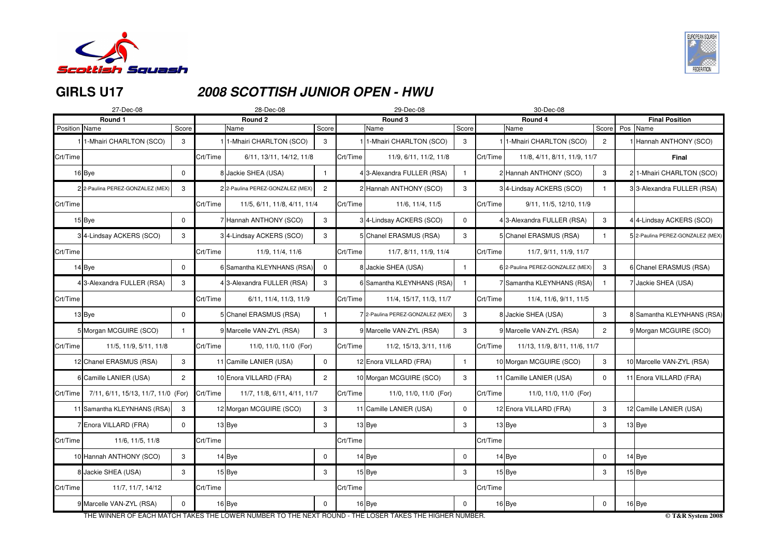

# **GIRLS U17**

# **2008 SCOTTISH JUNIOR OPEN - HWU**

| 27-Dec-08                       |                |                                     | 28-Dec-08               |                                                                                                                                                                                                                                                                                                            |                                                                                                                                 | 29-Dec-08                                                                                              |                                                                                                                                                                                                                                                                                                                                              |                                                                                                   | 30-Dec-08                          |                                                                                                                                                                                                                                                                                                                                                                                                                              |                                                               |                                  |
|---------------------------------|----------------|-------------------------------------|-------------------------|------------------------------------------------------------------------------------------------------------------------------------------------------------------------------------------------------------------------------------------------------------------------------------------------------------|---------------------------------------------------------------------------------------------------------------------------------|--------------------------------------------------------------------------------------------------------|----------------------------------------------------------------------------------------------------------------------------------------------------------------------------------------------------------------------------------------------------------------------------------------------------------------------------------------------|---------------------------------------------------------------------------------------------------|------------------------------------|------------------------------------------------------------------------------------------------------------------------------------------------------------------------------------------------------------------------------------------------------------------------------------------------------------------------------------------------------------------------------------------------------------------------------|---------------------------------------------------------------|----------------------------------|
| Round 1                         |                |                                     | Round 2                 |                                                                                                                                                                                                                                                                                                            |                                                                                                                                 | Round 3                                                                                                |                                                                                                                                                                                                                                                                                                                                              |                                                                                                   | Round 4                            |                                                                                                                                                                                                                                                                                                                                                                                                                              |                                                               | <b>Final Position</b>            |
|                                 |                |                                     |                         |                                                                                                                                                                                                                                                                                                            |                                                                                                                                 |                                                                                                        |                                                                                                                                                                                                                                                                                                                                              |                                                                                                   |                                    |                                                                                                                                                                                                                                                                                                                                                                                                                              |                                                               |                                  |
| 1-Mhairi CHARLTON (SCO)         | 3              |                                     | 1-Mhairi CHARLTON (SCO) | 3                                                                                                                                                                                                                                                                                                          |                                                                                                                                 |                                                                                                        | 3                                                                                                                                                                                                                                                                                                                                            |                                                                                                   |                                    | $\overline{2}$                                                                                                                                                                                                                                                                                                                                                                                                               |                                                               | Hannah ANTHONY (SCO)             |
|                                 |                | Crt/Time                            |                         |                                                                                                                                                                                                                                                                                                            |                                                                                                                                 | 11/9, 6/11, 11/2, 11/8                                                                                 |                                                                                                                                                                                                                                                                                                                                              | Crt/Time                                                                                          |                                    |                                                                                                                                                                                                                                                                                                                                                                                                                              |                                                               | <b>Final</b>                     |
| 16Bye                           | 0              |                                     |                         |                                                                                                                                                                                                                                                                                                            |                                                                                                                                 |                                                                                                        |                                                                                                                                                                                                                                                                                                                                              |                                                                                                   |                                    | $\mathbf{3}$                                                                                                                                                                                                                                                                                                                                                                                                                 |                                                               | 21-Mhairi CHARLTON (SCO)         |
| 2 2-Paulina PEREZ-GONZALEZ (MEX | 3              |                                     |                         | $\overline{2}$                                                                                                                                                                                                                                                                                             |                                                                                                                                 |                                                                                                        | $\mathbf{3}$                                                                                                                                                                                                                                                                                                                                 |                                                                                                   |                                    |                                                                                                                                                                                                                                                                                                                                                                                                                              |                                                               | 33-Alexandra FULLER (RSA)        |
|                                 |                | Crt/Time                            |                         |                                                                                                                                                                                                                                                                                                            | Crt/Time                                                                                                                        | 11/6, 11/4, 11/5                                                                                       |                                                                                                                                                                                                                                                                                                                                              | Crt/Time                                                                                          | 9/11, 11/5, 12/10, 11/9            |                                                                                                                                                                                                                                                                                                                                                                                                                              |                                                               |                                  |
| $15$ Bye                        | 0              |                                     |                         | $\mathbf{3}$                                                                                                                                                                                                                                                                                               |                                                                                                                                 |                                                                                                        | $\mathbf 0$                                                                                                                                                                                                                                                                                                                                  |                                                                                                   |                                    | 3                                                                                                                                                                                                                                                                                                                                                                                                                            |                                                               | 4 4-Lindsay ACKERS (SCO)         |
| 34-Lindsay ACKERS (SCO)         | 3              |                                     |                         | 3                                                                                                                                                                                                                                                                                                          |                                                                                                                                 |                                                                                                        | 3                                                                                                                                                                                                                                                                                                                                            |                                                                                                   |                                    |                                                                                                                                                                                                                                                                                                                                                                                                                              |                                                               | 5 2-Paulina PEREZ-GONZALEZ (MEX) |
|                                 |                | Crt/Time                            | 11/9, 11/4, 11/6        |                                                                                                                                                                                                                                                                                                            | Crt/Time                                                                                                                        | 11/7, 8/11, 11/9, 11/4                                                                                 |                                                                                                                                                                                                                                                                                                                                              | Crt/Time                                                                                          | 11/7, 9/11, 11/9, 11/7             |                                                                                                                                                                                                                                                                                                                                                                                                                              |                                                               |                                  |
| $14$ Bye                        | 0              |                                     |                         | $\mathbf 0$                                                                                                                                                                                                                                                                                                |                                                                                                                                 |                                                                                                        |                                                                                                                                                                                                                                                                                                                                              |                                                                                                   |                                    | 3                                                                                                                                                                                                                                                                                                                                                                                                                            |                                                               | 6 Chanel ERASMUS (RSA)           |
| 4 3-Alexandra FULLER (RSA)      | 3              |                                     |                         | 3                                                                                                                                                                                                                                                                                                          |                                                                                                                                 |                                                                                                        |                                                                                                                                                                                                                                                                                                                                              |                                                                                                   |                                    |                                                                                                                                                                                                                                                                                                                                                                                                                              |                                                               | 7 Jackie SHEA (USA)              |
|                                 |                | Crt/Time                            | 6/11, 11/4, 11/3, 11/9  |                                                                                                                                                                                                                                                                                                            |                                                                                                                                 | 11/4, 15/17, 11/3, 11/7                                                                                |                                                                                                                                                                                                                                                                                                                                              | Crt/Time                                                                                          | 11/4, 11/6, 9/11, 11/5             |                                                                                                                                                                                                                                                                                                                                                                                                                              |                                                               |                                  |
| $13$ Bye                        | 0              |                                     |                         |                                                                                                                                                                                                                                                                                                            |                                                                                                                                 |                                                                                                        | 3                                                                                                                                                                                                                                                                                                                                            |                                                                                                   |                                    | $\mathbf{3}$                                                                                                                                                                                                                                                                                                                                                                                                                 |                                                               | 8 Samantha KLEYNHANS (RSA)       |
| 5 Morgan MCGUIRE (SCO)          | -1             |                                     |                         | 3                                                                                                                                                                                                                                                                                                          |                                                                                                                                 |                                                                                                        | $\mathbf{3}$                                                                                                                                                                                                                                                                                                                                 |                                                                                                   |                                    | $\overline{2}$                                                                                                                                                                                                                                                                                                                                                                                                               |                                                               | 9 Morgan MCGUIRE (SCO)           |
| 11/5, 11/9, 5/11, 11/8          |                | Crt/Time                            | 11/0, 11/0, 11/0 (For)  |                                                                                                                                                                                                                                                                                                            |                                                                                                                                 | 11/2, 15/13, 3/11, 11/6                                                                                |                                                                                                                                                                                                                                                                                                                                              | Crt/Time                                                                                          |                                    |                                                                                                                                                                                                                                                                                                                                                                                                                              |                                                               |                                  |
| 12 Chanel ERASMUS (RSA)         | 3              | $\mathbf{1}$                        | Camille LANIER (USA)    | $\mathbf 0$                                                                                                                                                                                                                                                                                                |                                                                                                                                 |                                                                                                        | -1                                                                                                                                                                                                                                                                                                                                           |                                                                                                   |                                    | 3                                                                                                                                                                                                                                                                                                                                                                                                                            |                                                               | 10 Marcelle VAN-ZYL (RSA)        |
| 6 Camille LANIER (USA)          | $\overline{2}$ |                                     |                         | $\overline{2}$                                                                                                                                                                                                                                                                                             |                                                                                                                                 |                                                                                                        | $\mathbf{3}$                                                                                                                                                                                                                                                                                                                                 |                                                                                                   |                                    | $\mathbf{0}$                                                                                                                                                                                                                                                                                                                                                                                                                 |                                                               | 11 Enora VILLARD (FRA)           |
| Crt/Time                        |                |                                     |                         |                                                                                                                                                                                                                                                                                                            | Crt/Time                                                                                                                        |                                                                                                        |                                                                                                                                                                                                                                                                                                                                              | Crt/Time                                                                                          | 11/0, 11/0, 11/0 (For)             |                                                                                                                                                                                                                                                                                                                                                                                                                              |                                                               |                                  |
| 11 Samantha KLEYNHANS (RSA)     | 3              |                                     |                         | $\mathbf{3}$                                                                                                                                                                                                                                                                                               |                                                                                                                                 |                                                                                                        | $\overline{0}$                                                                                                                                                                                                                                                                                                                               |                                                                                                   |                                    | 3                                                                                                                                                                                                                                                                                                                                                                                                                            |                                                               | 12 Camille LANIER (USA)          |
| 7 Enora VILLARD (FRA)           | $\mathbf 0$    |                                     |                         | $\mathbf{3}$                                                                                                                                                                                                                                                                                               |                                                                                                                                 |                                                                                                        | $\mathbf{3}$                                                                                                                                                                                                                                                                                                                                 |                                                                                                   |                                    | 3                                                                                                                                                                                                                                                                                                                                                                                                                            |                                                               | $13$ Bye                         |
| 11/6, 11/5, 11/8                |                | Crt/Time                            |                         |                                                                                                                                                                                                                                                                                                            | Crt/Time                                                                                                                        |                                                                                                        |                                                                                                                                                                                                                                                                                                                                              | Crt/Time                                                                                          |                                    |                                                                                                                                                                                                                                                                                                                                                                                                                              |                                                               |                                  |
| 10 Hannah ANTHONY (SCO)         | 3              |                                     |                         | $\mathbf 0$                                                                                                                                                                                                                                                                                                |                                                                                                                                 |                                                                                                        | $\overline{0}$                                                                                                                                                                                                                                                                                                                               |                                                                                                   |                                    | $\overline{0}$                                                                                                                                                                                                                                                                                                                                                                                                               |                                                               | $14$ Bye                         |
| 8 Jackie SHEA (USA)             | 3              |                                     |                         | 3                                                                                                                                                                                                                                                                                                          |                                                                                                                                 |                                                                                                        | 3                                                                                                                                                                                                                                                                                                                                            |                                                                                                   |                                    | 3                                                                                                                                                                                                                                                                                                                                                                                                                            |                                                               | $15$ Bye                         |
| 11/7, 11/7, 14/12               |                | Crt/Time                            |                         |                                                                                                                                                                                                                                                                                                            |                                                                                                                                 |                                                                                                        |                                                                                                                                                                                                                                                                                                                                              | Crt/Time                                                                                          |                                    |                                                                                                                                                                                                                                                                                                                                                                                                                              |                                                               |                                  |
| 9 Marcelle VAN-ZYL (RSA)        | $\Omega$       |                                     |                         | $\mathbf 0$                                                                                                                                                                                                                                                                                                |                                                                                                                                 |                                                                                                        | $\mathbf 0$                                                                                                                                                                                                                                                                                                                                  |                                                                                                   |                                    | $\mathbf 0$                                                                                                                                                                                                                                                                                                                                                                                                                  |                                                               | $16$ Bye                         |
|                                 | Position Name  | 7/11, 6/11, 15/13, 11/7, 11/0 (For) | Score<br>Crt/Time       | Name<br>8 Jackie SHEA (USA)<br>2 2-Paulina PEREZ-GONZALEZ (MEX)<br>Hannah ANTHONY (SCO)<br>34-Lindsay ACKERS (SCO)<br>43-Alexandra FULLER (RSA)<br>5 Chanel ERASMUS (RSA)<br>9 Marcelle VAN-ZYL (RSA)<br>10 Enora VILLARD (FRA)<br>12 Morgan MCGUIRE (SCO)<br>$13$ Bye<br>$14$ Bye<br>$15$ Bye<br>$16$ Bye | Score<br>6/11, 13/11, 14/12, 11/8<br>11/5, 6/11, 11/8, 4/11, 11/4<br>6 Samantha KLEYNHANS (RSA)<br>11/7, 11/8, 6/11, 4/11, 11/7 | Crt/Time<br>Crt/Time<br>Crt/Time<br>THE WINNER OF FACU MATCH TAKES THE LOWER NUMBER TO THE NEVT ROUND. | Name<br>I 1-Mhairi CHARLTON (SCO)<br>43-Alexandra FULLER (RSA)<br>2 Hannah ANTHONY (SCO)<br>34-Lindsay ACKERS (SCO)<br>5 Chanel ERASMUS (RSA)<br>8 Jackie SHEA (USA)<br>9 Marcelle VAN-ZYL (RSA)<br>12 Enora VILLARD (FRA)<br>10 Morgan MCGUIRE (SCO)<br>11 Camille LANIER (USA)<br>$13$ Bye<br>$14$ Bye<br>$15$ Bye<br>Crt/Time<br>$16$ Bye | Score<br>6 Samantha KLEYNHANS (RSA)<br>7 2-Paulina PEREZ-GONZALEZ (MEX)<br>11/0, 11/0, 11/0 (For) | TUE LOCED TAIZES TUE UIGUED NUMBED | Name<br>1 <sup>1</sup> -Mhairi CHARLTON (SCO)<br>2 Hannah ANTHONY (SCO)<br>3 <sup>4</sup> -Lindsay ACKERS (SCO)<br>4 3-Alexandra FULLER (RSA)<br>5 Chanel ERASMUS (RSA)<br>6 2-Paulina PEREZ-GONZALEZ (MEX)<br>7 Samantha KLEYNHANS (RSA)<br>8 Jackie SHEA (USA)<br>9 Marcelle VAN-ZYL (RSA)<br>10 Morgan MCGUIRE (SCO)<br>11 Camille LANIER (USA)<br>12 Enora VILLARD (FRA)<br>$13$ Bye<br>$14$ Bye<br>$15$ Bye<br>$16$ Bye | 11/8, 4/11, 8/11, 11/9, 11/7<br>11/13, 11/9, 8/11, 11/6, 11/7 | Score Pos Name                   |